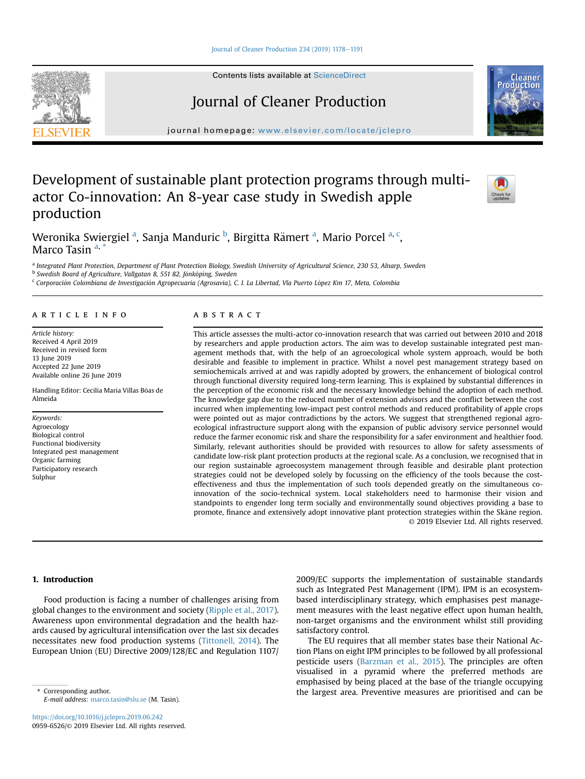Contents lists available at ScienceDirect

# Journal of Cleaner Production

journal homepage: [www.elsevier.com/locate/jclepro](http://www.elsevier.com/locate/jclepro)

# Development of sustainable plant protection programs through multiactor Co-innovation: An 8-year case study in Swedish apple production

Weronika Swiergiel <sup>a</sup>, Sanja Manduric <sup>b</sup>, Birgitta Rämert <sup>a</sup>, Mario Porcel <sup>a, c</sup>, Marco Tasin a, \*

a Integrated Plant Protection, Department of Plant Protection Biology, Swedish University of Agricultural Science, 230 53, Alnarp, Sweden b Swedish Board of Agriculture, Vallgatan 8, 551 82, Jönköping, Sweden

<sup>c</sup> Corporación Colombiana de Investigación Agropecuaria (Agrosavia), C. I. La Libertad, Vía Puerto López Km 17, Meta, Colombia

# article info

Article history: Received 4 April 2019 Received in revised form 13 June 2019 Accepted 22 June 2019 Available online 26 June 2019

Handling Editor: Cecilia Maria Villas Bôas de Almeida

Keywords: Agroecology Biological control Functional biodiversity Integrated pest management Organic farming Participatory research Sulphur

# **ABSTRACT**

This article assesses the multi-actor co-innovation research that was carried out between 2010 and 2018 by researchers and apple production actors. The aim was to develop sustainable integrated pest management methods that, with the help of an agroecological whole system approach, would be both desirable and feasible to implement in practice. Whilst a novel pest management strategy based on semiochemicals arrived at and was rapidly adopted by growers, the enhancement of biological control through functional diversity required long-term learning. This is explained by substantial differences in the perception of the economic risk and the necessary knowledge behind the adoption of each method. The knowledge gap due to the reduced number of extension advisors and the conflict between the cost incurred when implementing low-impact pest control methods and reduced profitability of apple crops were pointed out as major contradictions by the actors. We suggest that strengthened regional agroecological infrastructure support along with the expansion of public advisory service personnel would reduce the farmer economic risk and share the responsibility for a safer environment and healthier food. Similarly, relevant authorities should be provided with resources to allow for safety assessments of candidate low-risk plant protection products at the regional scale. As a conclusion, we recognised that in our region sustainable agroecosystem management through feasible and desirable plant protection strategies could not be developed solely by focussing on the efficiency of the tools because the costeffectiveness and thus the implementation of such tools depended greatly on the simultaneous coinnovation of the socio-technical system. Local stakeholders need to harmonise their vision and standpoints to engender long term socially and environmentally sound objectives providing a base to promote, finance and extensively adopt innovative plant protection strategies within the Skåne region. © 2019 Elsevier Ltd. All rights reserved.

# 1. Introduction

Food production is facing a number of challenges arising from global changes to the environment and society [\(Ripple et al., 2017\)](#page-12-0). Awareness upon environmental degradation and the health hazards caused by agricultural intensification over the last six decades necessitates new food production systems [\(Tittonell, 2014](#page-13-0)). The European Union (EU) Directive 2009/128/EC and Regulation 1107/

0959-6526/© 2019 Elsevier Ltd. All rights reserved.

2009/EC supports the implementation of sustainable standards such as Integrated Pest Management (IPM). IPM is an ecosystembased interdisciplinary strategy, which emphasises pest management measures with the least negative effect upon human health, non-target organisms and the environment whilst still providing satisfactory control.

The EU requires that all member states base their National Action Plans on eight IPM principles to be followed by all professional pesticide users ([Barzman et al., 2015\)](#page-11-0). The principles are often visualised in a pyramid where the preferred methods are emphasised by being placed at the base of the triangle occupying \* Corresponding author. the largest area. Preventive measures are prioritised and can be E-mail address: [marco.tasin@slu.se](mailto:marco.tasin@slu.se) (M. Tasin).





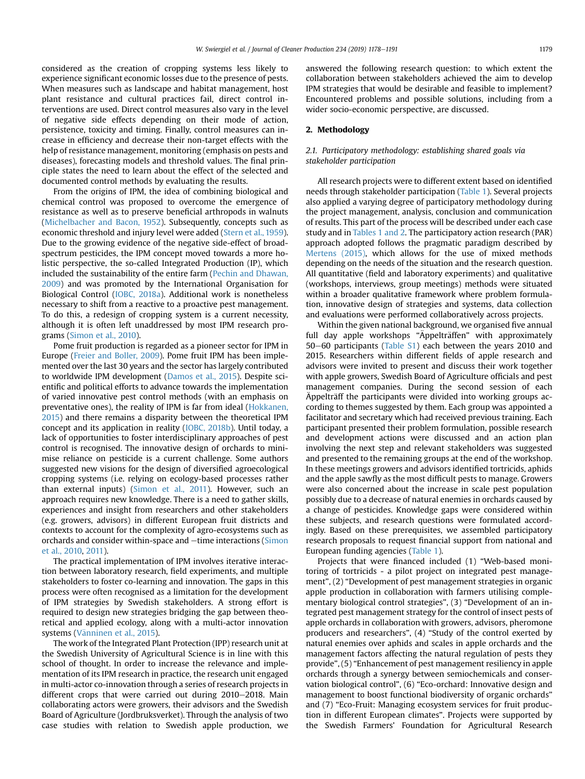considered as the creation of cropping systems less likely to experience significant economic losses due to the presence of pests. When measures such as landscape and habitat management, host plant resistance and cultural practices fail, direct control interventions are used. Direct control measures also vary in the level of negative side effects depending on their mode of action, persistence, toxicity and timing. Finally, control measures can increase in efficiency and decrease their non-target effects with the help of resistance management, monitoring (emphasis on pests and diseases), forecasting models and threshold values. The final principle states the need to learn about the effect of the selected and documented control methods by evaluating the results.

From the origins of IPM, the idea of combining biological and chemical control was proposed to overcome the emergence of resistance as well as to preserve beneficial arthropods in walnuts ([Michelbacher and Bacon, 1952\)](#page-12-0). Subsequently, concepts such as economic threshold and injury level were added ([Stern et al., 1959\)](#page-12-0). Due to the growing evidence of the negative side-effect of broadspectrum pesticides, the IPM concept moved towards a more holistic perspective, the so-called Integrated Production (IP), which included the sustainability of the entire farm ([Pechin and Dhawan,](#page-12-0) [2009\)](#page-12-0) and was promoted by the International Organisation for Biological Control [\(IOBC, 2018a\)](#page-12-0). Additional work is nonetheless necessary to shift from a reactive to a proactive pest management. To do this, a redesign of cropping system is a current necessity, although it is often left unaddressed by most IPM research programs [\(Simon et al., 2010\)](#page-12-0).

Pome fruit production is regarded as a pioneer sector for IPM in Europe [\(Freier and Boller, 2009](#page-12-0)). Pome fruit IPM has been implemented over the last 30 years and the sector has largely contributed to worldwide IPM development [\(Damos et al., 2015](#page-12-0)). Despite scientific and political efforts to advance towards the implementation of varied innovative pest control methods (with an emphasis on preventative ones), the reality of IPM is far from ideal [\(Hokkanen,](#page-12-0) [2015\)](#page-12-0) and there remains a disparity between the theoretical IPM concept and its application in reality ([IOBC, 2018b\)](#page-12-0). Until today, a lack of opportunities to foster interdisciplinary approaches of pest control is recognised. The innovative design of orchards to minimise reliance on pesticide is a current challenge. Some authors suggested new visions for the design of diversified agroecological cropping systems (i.e. relying on ecology-based processes rather than external inputs) ([Simon et al., 2011](#page-12-0)). However, such an approach requires new knowledge. There is a need to gather skills, experiences and insight from researchers and other stakeholders (e.g. growers, advisors) in different European fruit districts and contexts to account for the complexity of agro-ecosystems such as orchards and consider within-space and -time interactions ([Simon](#page-12-0) [et al., 2010](#page-12-0), [2011\)](#page-12-0).

The practical implementation of IPM involves iterative interaction between laboratory research, field experiments, and multiple stakeholders to foster co-learning and innovation. The gaps in this process were often recognised as a limitation for the development of IPM strategies by Swedish stakeholders. A strong effort is required to design new strategies bridging the gap between theoretical and applied ecology, along with a multi-actor innovation systems [\(V](#page-13-0)ä[nninen et al., 2015\)](#page-13-0).

The work of the Integrated Plant Protection (IPP) research unit at the Swedish University of Agricultural Science is in line with this school of thought. In order to increase the relevance and implementation of its IPM research in practice, the research unit engaged in multi-actor co-innovation through a series of research projects in different crops that were carried out during  $2010-2018$ . Main collaborating actors were growers, their advisors and the Swedish Board of Agriculture (Jordbruksverket). Through the analysis of two case studies with relation to Swedish apple production, we answered the following research question: to which extent the collaboration between stakeholders achieved the aim to develop IPM strategies that would be desirable and feasible to implement? Encountered problems and possible solutions, including from a wider socio-economic perspective, are discussed.

# 2. Methodology

# 2.1. Participatory methodology: establishing shared goals via stakeholder participation

All research projects were to different extent based on identified needs through stakeholder participation ([Table 1\)](#page-2-0). Several projects also applied a varying degree of participatory methodology during the project management, analysis, conclusion and communication of results. This part of the process will be described under each case study and in [Tables 1 and 2](#page-2-0). The participatory action research (PAR) approach adopted follows the pragmatic paradigm described by [Mertens \(2015\)](#page-12-0), which allows for the use of mixed methods depending on the needs of the situation and the research question. All quantitative (field and laboratory experiments) and qualitative (workshops, interviews, group meetings) methods were situated within a broader qualitative framework where problem formulation, innovative design of strategies and systems, data collection and evaluations were performed collaboratively across projects.

Within the given national background, we organised five annual full day apple workshops "Appelträffen" with approximately 50–60 participants (Table S1) each between the years 2010 and 2015. Researchers within different fields of apple research and advisors were invited to present and discuss their work together with apple growers, Swedish Board of Agriculture officials and pest management companies. During the second session of each  $\ddot{A}$ ppelträff the participants were divided into working groups according to themes suggested by them. Each group was appointed a facilitator and secretary which had received previous training. Each participant presented their problem formulation, possible research and development actions were discussed and an action plan involving the next step and relevant stakeholders was suggested and presented to the remaining groups at the end of the workshop. In these meetings growers and advisors identified tortricids, aphids and the apple sawfly as the most difficult pests to manage. Growers were also concerned about the increase in scale pest population possibly due to a decrease of natural enemies in orchards caused by a change of pesticides. Knowledge gaps were considered within these subjects, and research questions were formulated accordingly. Based on these prerequisites, we assembled participatory research proposals to request financial support from national and European funding agencies ([Table 1\)](#page-2-0).

Projects that were financed included (1) "Web-based monitoring of tortricids - a pilot project on integrated pest management", (2) "Development of pest management strategies in organic apple production in collaboration with farmers utilising complementary biological control strategies", (3) "Development of an integrated pest management strategy for the control of insect pests of apple orchards in collaboration with growers, advisors, pheromone producers and researchers", (4) "Study of the control exerted by natural enemies over aphids and scales in apple orchards and the management factors affecting the natural regulation of pests they provide", (5) "Enhancement of pest management resiliency in apple orchards through a synergy between semiochemicals and conservation biological control", (6) "Eco-orchard: Innovative design and management to boost functional biodiversity of organic orchards" and (7) "Eco-Fruit: Managing ecosystem services for fruit production in different European climates". Projects were supported by the Swedish Farmers' Foundation for Agricultural Research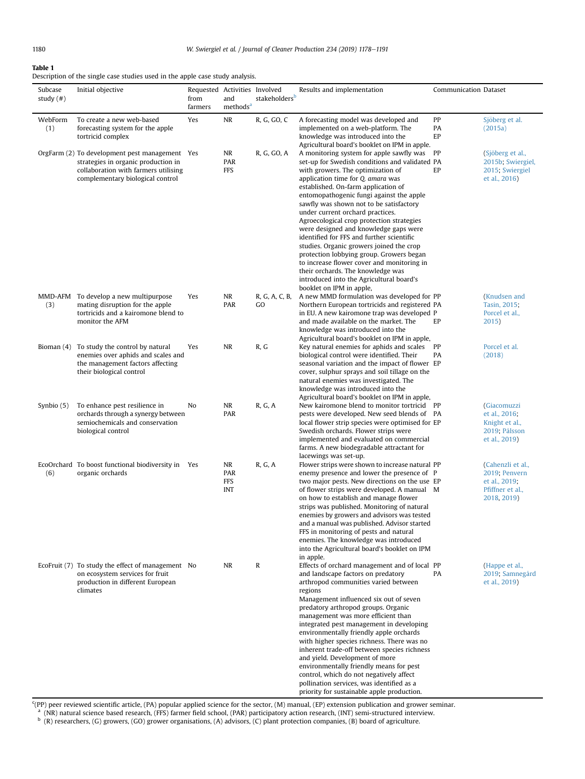## <span id="page-2-0"></span>Table 1

Description of the single case studies used in the apple case study analysis.

| Subcase<br>study $($ # $)$ | Initial objective                                                                                                                                                 | Requested Activities Involved<br>from<br>farmers | and<br>methods <sup>a</sup>           | stakeholdersb        | Results and implementation                                                                                                                                                                                                                                                                                                                                                                                                                                                                                                                                                                                                                                                                                                   | Communication Dataset |                                                                                        |
|----------------------------|-------------------------------------------------------------------------------------------------------------------------------------------------------------------|--------------------------------------------------|---------------------------------------|----------------------|------------------------------------------------------------------------------------------------------------------------------------------------------------------------------------------------------------------------------------------------------------------------------------------------------------------------------------------------------------------------------------------------------------------------------------------------------------------------------------------------------------------------------------------------------------------------------------------------------------------------------------------------------------------------------------------------------------------------------|-----------------------|----------------------------------------------------------------------------------------|
| WebForm<br>(1)             | To create a new web-based<br>forecasting system for the apple<br>tortricid complex                                                                                | Yes                                              | NR                                    | R, G, GO, C          | A forecasting model was developed and<br>implemented on a web-platform. The<br>knowledge was introduced into the<br>Agricultural board's booklet on IPM in apple.                                                                                                                                                                                                                                                                                                                                                                                                                                                                                                                                                            | PP<br>PA<br>EP        | Sjöberg et al.<br>(2015a)                                                              |
|                            | OrgFarm (2) To development pest management Yes<br>strategies in organic production in<br>collaboration with farmers utilising<br>complementary biological control |                                                  | NR<br>PAR<br><b>FFS</b>               | R, G, GO, A          | A monitoring system for apple sawfly was<br>set-up for Swedish conditions and validated PA<br>with growers. The optimization of<br>application time for Q. amara was<br>established. On-farm application of<br>entomopathogenic fungi against the apple<br>sawfly was shown not to be satisfactory<br>under current orchard practices.<br>Agroecological crop protection strategies<br>were designed and knowledge gaps were<br>identified for FFS and further scientific<br>studies. Organic growers joined the crop<br>protection lobbying group. Growers began<br>to increase flower cover and monitoring in<br>their orchards. The knowledge was<br>introduced into the Agricultural board's<br>booklet on IPM in apple, | PP<br>EP              | (Sjöberg et al.,<br>2015b; Swiergiel,<br>2015; Swiergiel<br>et al., 2016)              |
| MMD-AFM<br>(3)             | To develop a new multipurpose<br>mating disruption for the apple<br>tortricids and a kairomone blend to<br>monitor the AFM                                        | Yes                                              | NR<br><b>PAR</b>                      | R, G, A, C, B,<br>GO | A new MMD formulation was developed for PP<br>Northern European tortricids and registered PA<br>in EU. A new kairomone trap was developed P<br>and made available on the market. The<br>knowledge was introduced into the<br>Agricultural board's booklet on IPM in apple,                                                                                                                                                                                                                                                                                                                                                                                                                                                   | EP                    | (Knudsen and<br>Tasin, 2015;<br>Porcel et al.,<br>2015)                                |
| Bioman $(4)$               | To study the control by natural<br>enemies over aphids and scales and<br>the management factors affecting<br>their biological control                             | Yes                                              | <b>NR</b>                             | R, G                 | Key natural enemies for aphids and scales<br>biological control were identified. Their<br>seasonal variation and the impact of flower EP<br>cover, sulphur sprays and soil tillage on the<br>natural enemies was investigated. The<br>knowledge was introduced into the<br>Agricultural board's booklet on IPM in apple,                                                                                                                                                                                                                                                                                                                                                                                                     | PP<br>PA              | Porcel et al.<br>(2018)                                                                |
| Synbio $(5)$               | To enhance pest resilience in<br>orchards through a synergy between<br>semiochemicals and conservation<br>biological control                                      | No                                               | NR<br><b>PAR</b>                      | R, G, A              | New kairomone blend to monitor tortricid PP<br>pests were developed. New seed blends of PA<br>local flower strip species were optimised for EP<br>Swedish orchards. Flower strips were<br>implemented and evaluated on commercial<br>farms. A new biodegradable attractant for<br>lacewings was set-up.                                                                                                                                                                                                                                                                                                                                                                                                                      |                       | (Giacomuzzi<br>et al., 2016;<br>Knight et al.,<br>2019; Pålsson<br>et al., 2019)       |
| (6)                        | EcoOrchard To boost functional biodiversity in Yes<br>organic orchards                                                                                            |                                                  | NR<br><b>PAR</b><br><b>FFS</b><br>INT | R, G, A              | Flower strips were shown to increase natural PP<br>enemy presence and lower the presence of P<br>two major pests. New directions on the use EP<br>of flower strips were developed. A manual M<br>on how to establish and manage flower<br>strips was published. Monitoring of natural<br>enemies by growers and advisors was tested<br>and a manual was published. Advisor started<br>FFS in monitoring of pests and natural<br>enemies. The knowledge was introduced<br>into the Agricultural board's booklet on IPM<br>in apple.                                                                                                                                                                                           |                       | (Cahenzli et al.,<br>2019; Penvern<br>et al., 2019;<br>Pfiffner et al.,<br>2018, 2019) |
|                            | EcoFruit (7) To study the effect of management No<br>on ecosystem services for fruit<br>production in different European<br>climates                              |                                                  | <b>NR</b>                             | R                    | Effects of orchard management and of local PP<br>and landscape factors on predatory<br>arthropod communities varied between<br>regions<br>Management influenced six out of seven<br>predatory arthropod groups. Organic<br>management was more efficient than<br>integrated pest management in developing<br>environmentally friendly apple orchards<br>with higher species richness. There was no<br>inherent trade-off between species richness<br>and yield. Development of more<br>environmentally friendly means for pest<br>control, which do not negatively affect<br>pollination services, was identified as a<br>priority for sustainable apple production.                                                         | PA                    | (Happe et al.,<br>2019; Samnegård<br>et al., 2019)                                     |

c (PP) peer reviewed scientific article, (PA) popular applied science for the sector, (M) manual, (EP) extension publication and grower seminar.

<sup>a</sup> (NR) natural science based research, (FFS) farmer field school, (PAR) participatory action research, (INT) semi-structured interview.

 $b$  (R) researchers, (G) growers, (GO) grower organisations, (A) advisors, (C) plant protection companies, (B) board of agriculture.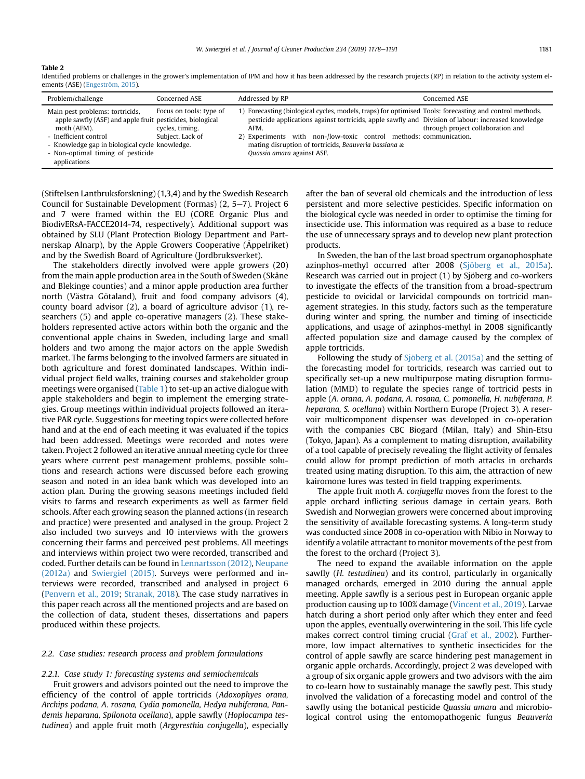## <span id="page-3-0"></span>Table 2

Identified problems or challenges in the grower's implementation of IPM and how it has been addressed by the research projects (RP) in relation to the activity system el-ements (ASE) ([Engestr](#page-12-0)ö[m, 2015](#page-12-0)).

| Problem/challenge                                                                                                                                                                                                                           | Concerned ASE                                                  | Addressed by RP                                                                                                                                                                                                                                                                                                                                                                     | Concerned ASE                     |
|---------------------------------------------------------------------------------------------------------------------------------------------------------------------------------------------------------------------------------------------|----------------------------------------------------------------|-------------------------------------------------------------------------------------------------------------------------------------------------------------------------------------------------------------------------------------------------------------------------------------------------------------------------------------------------------------------------------------|-----------------------------------|
| Main pest problems: tortricids,<br>apple sawfly (ASF) and apple fruit pesticides, biological<br>moth (AFM).<br>- Inefficient control<br>- Knowledge gap in biological cycle knowledge.<br>- Non-optimal timing of pesticide<br>applications | Focus on tools: type of<br>cycles, timing.<br>Subject. Lack of | 1) Forecasting (biological cycles, models, traps) for optimised Tools: forecasting and control methods.<br>pesticide applications against tortricids, apple sawfly and Division of labour: increased knowledge<br>AFM.<br>2) Experiments with non-/low-toxic control methods: communication.<br>mating disruption of tortricids, Beauveria bassiana &<br>Quassia amara against ASF. | through project collaboration and |

(Stiftelsen Lantbruksforskning) (1,3,4) and by the Swedish Research Council for Sustainable Development (Formas)  $(2, 5-7)$ . Project 6 and 7 were framed within the EU (CORE Organic Plus and BiodivERsA-FACCE2014-74, respectively). Additional support was obtained by SLU (Plant Protection Biology Department and Partnerskap Alnarp), by the Apple Growers Cooperative (Appelriket) and by the Swedish Board of Agriculture (Jordbruksverket).

The stakeholders directly involved were apple growers (20) from the main apple production area in the South of Sweden (Skåne and Blekinge counties) and a minor apple production area further north (Västra Götaland), fruit and food company advisors (4), county board advisor (2), a board of agriculture advisor (1), researchers (5) and apple co-operative managers (2). These stakeholders represented active actors within both the organic and the conventional apple chains in Sweden, including large and small holders and two among the major actors on the apple Swedish market. The farms belonging to the involved farmers are situated in both agriculture and forest dominated landscapes. Within individual project field walks, training courses and stakeholder group meetings were organised [\(Table 1\)](#page-2-0) to set-up an active dialogue with apple stakeholders and begin to implement the emerging strategies. Group meetings within individual projects followed an iterative PAR cycle. Suggestions for meeting topics were collected before hand and at the end of each meeting it was evaluated if the topics had been addressed. Meetings were recorded and notes were taken. Project 2 followed an iterative annual meeting cycle for three years where current pest management problems, possible solutions and research actions were discussed before each growing season and noted in an idea bank which was developed into an action plan. During the growing seasons meetings included field visits to farms and research experiments as well as farmer field schools. After each growing season the planned actions (in research and practice) were presented and analysed in the group. Project 2 also included two surveys and 10 interviews with the growers concerning their farms and perceived pest problems. All meetings and interviews within project two were recorded, transcribed and coded. Further details can be found in [Lennartsson \(2012\)](#page-12-0), [Neupane](#page-12-0) [\(2012a\)](#page-12-0) and [Swiergiel \(2015\)](#page-13-0). Surveys were performed and interviews were recorded, transcribed and analysed in project 6 ([Penvern et al., 2019](#page-12-0); [Stranak, 2018](#page-12-0)). The case study narratives in this paper reach across all the mentioned projects and are based on the collection of data, student theses, dissertations and papers produced within these projects.

## 2.2. Case studies: research process and problem formulations

## 2.2.1. Case study 1: forecasting systems and semiochemicals

Fruit growers and advisors pointed out the need to improve the efficiency of the control of apple tortricids (Adoxophyes orana, Archips podana, A. rosana, Cydia pomonella, Hedya nubiferana, Pandemis heparana, Spilonota ocellana), apple sawfly (Hoplocampa testudinea) and apple fruit moth (Argyresthia conjugella), especially after the ban of several old chemicals and the introduction of less persistent and more selective pesticides. Specific information on the biological cycle was needed in order to optimise the timing for insecticide use. This information was required as a base to reduce the use of unnecessary sprays and to develop new plant protection products.

In Sweden, the ban of the last broad spectrum organophosphate azinphos-methyl occurred after 2008 (Sjöberg et al., 2015a). Research was carried out in project  $(1)$  by Sjöberg and co-workers to investigate the effects of the transition from a broad-spectrum pesticide to ovicidal or larvicidal compounds on tortricid management strategies. In this study, factors such as the temperature during winter and spring, the number and timing of insecticide applications, and usage of azinphos-methyl in 2008 significantly affected population size and damage caused by the complex of apple tortricids.

Following the study of Sjöberg et al. (2015a) and the setting of the forecasting model for tortricids, research was carried out to specifically set-up a new multipurpose mating disruption formulation (MMD) to regulate the species range of tortricid pests in apple (A. orana, A. podana, A. rosana, C. pomonella, H. nubiferana, P. heparana, S. ocellana) within Northern Europe (Project 3). A reservoir multicomponent dispenser was developed in co-operation with the companies CBC Biogard (Milan, Italy) and Shin-Etsu (Tokyo, Japan). As a complement to mating disruption, availability of a tool capable of precisely revealing the flight activity of females could allow for prompt prediction of moth attacks in orchards treated using mating disruption. To this aim, the attraction of new kairomone lures was tested in field trapping experiments.

The apple fruit moth A. conjugella moves from the forest to the apple orchard inflicting serious damage in certain years. Both Swedish and Norwegian growers were concerned about improving the sensitivity of available forecasting systems. A long-term study was conducted since 2008 in co-operation with Nibio in Norway to identify a volatile attractant to monitor movements of the pest from the forest to the orchard (Project 3).

The need to expand the available information on the apple sawfly (H. testudinea) and its control, particularly in organically managed orchards, emerged in 2010 during the annual apple meeting. Apple sawfly is a serious pest in European organic apple production causing up to 100% damage [\(Vincent et al., 2019](#page-13-0)). Larvae hatch during a short period only after which they enter and feed upon the apples, eventually overwintering in the soil. This life cycle makes correct control timing crucial ([Graf et al., 2002](#page-12-0)). Furthermore, low impact alternatives to synthetic insecticides for the control of apple sawfly are scarce hindering pest management in organic apple orchards. Accordingly, project 2 was developed with a group of six organic apple growers and two advisors with the aim to co-learn how to sustainably manage the sawfly pest. This study involved the validation of a forecasting model and control of the sawfly using the botanical pesticide Quassia amara and microbiological control using the entomopathogenic fungus Beauveria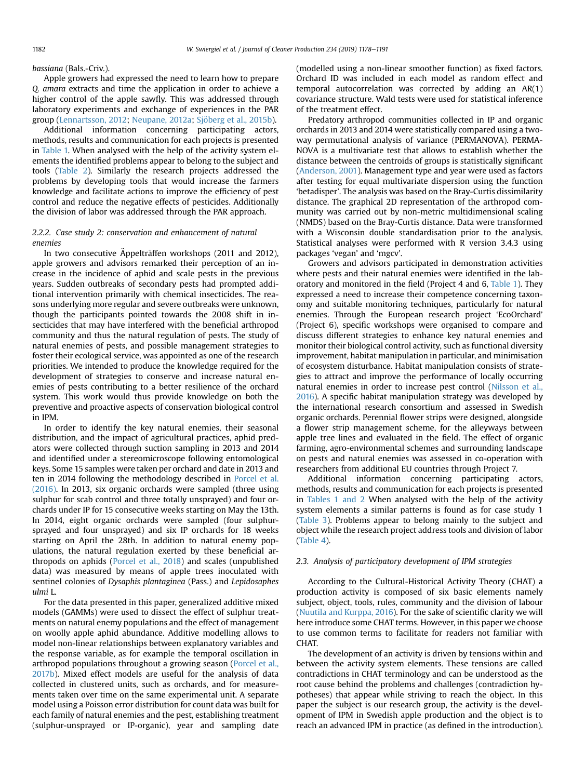bassiana (Bals.-Criv.).

Apple growers had expressed the need to learn how to prepare Q. amara extracts and time the application in order to achieve a higher control of the apple sawfly. This was addressed through laboratory experiments and exchange of experiences in the PAR group ([Lennartsson, 2012](#page-12-0); [Neupane, 2012a](#page-12-0); [Sj](#page-12-0)ö[berg et al., 2015b](#page-12-0)).

Additional information concerning participating actors, methods, results and communication for each projects is presented in [Table 1.](#page-2-0) When analysed with the help of the activity system elements the identified problems appear to belong to the subject and tools [\(Table 2](#page-3-0)). Similarly the research projects addressed the problems by developing tools that would increase the farmers knowledge and facilitate actions to improve the efficiency of pest control and reduce the negative effects of pesticides. Additionally the division of labor was addressed through the PAR approach.

# 2.2.2. Case study 2: conservation and enhancement of natural enemies

In two consecutive Appelträffen workshops (2011 and 2012), apple growers and advisors remarked their perception of an increase in the incidence of aphid and scale pests in the previous years. Sudden outbreaks of secondary pests had prompted additional intervention primarily with chemical insecticides. The reasons underlying more regular and severe outbreaks were unknown, though the participants pointed towards the 2008 shift in insecticides that may have interfered with the beneficial arthropod community and thus the natural regulation of pests. The study of natural enemies of pests, and possible management strategies to foster their ecological service, was appointed as one of the research priorities. We intended to produce the knowledge required for the development of strategies to conserve and increase natural enemies of pests contributing to a better resilience of the orchard system. This work would thus provide knowledge on both the preventive and proactive aspects of conservation biological control in IPM.

In order to identify the key natural enemies, their seasonal distribution, and the impact of agricultural practices, aphid predators were collected through suction sampling in 2013 and 2014 and identified under a stereomicroscope following entomological keys. Some 15 samples were taken per orchard and date in 2013 and ten in 2014 following the methodology described in [Porcel et al.](#page-12-0) [\(2016\)](#page-12-0). In 2013, six organic orchards were sampled (three using sulphur for scab control and three totally unsprayed) and four orchards under IP for 15 consecutive weeks starting on May the 13th. In 2014, eight organic orchards were sampled (four sulphursprayed and four unsprayed) and six IP orchards for 18 weeks starting on April the 28th. In addition to natural enemy populations, the natural regulation exerted by these beneficial arthropods on aphids ([Porcel et al., 2018](#page-12-0)) and scales (unpublished data) was measured by means of apple trees inoculated with sentinel colonies of Dysaphis plantaginea (Pass.) and Lepidosaphes ulmi L.

For the data presented in this paper, generalized additive mixed models (GAMMs) were used to dissect the effect of sulphur treatments on natural enemy populations and the effect of management on woolly apple aphid abundance. Additive modelling allows to model non-linear relationships between explanatory variables and the response variable, as for example the temporal oscillation in arthropod populations throughout a growing season ([Porcel et al.,](#page-12-0) [2017b\)](#page-12-0). Mixed effect models are useful for the analysis of data collected in clustered units, such as orchards, and for measurements taken over time on the same experimental unit. A separate model using a Poisson error distribution for count data was built for each family of natural enemies and the pest, establishing treatment (sulphur-unsprayed or IP-organic), year and sampling date (modelled using a non-linear smoother function) as fixed factors. Orchard ID was included in each model as random effect and temporal autocorrelation was corrected by adding an AR(1) covariance structure. Wald tests were used for statistical inference of the treatment effect.

Predatory arthropod communities collected in IP and organic orchards in 2013 and 2014 were statistically compared using a twoway permutational analysis of variance (PERMANOVA). PERMA-NOVA is a multivariate test that allows to establish whether the distance between the centroids of groups is statistically significant ([Anderson, 2001](#page-11-0)). Management type and year were used as factors after testing for equal multivariate dispersion using the function 'betadisper'. The analysis was based on the Bray-Curtis dissimilarity distance. The graphical 2D representation of the arthropod community was carried out by non-metric multidimensional scaling (NMDS) based on the Bray-Curtis distance. Data were transformed with a Wisconsin double standardisation prior to the analysis. Statistical analyses were performed with R version 3.4.3 using packages 'vegan' and 'mgcv'.

Growers and advisors participated in demonstration activities where pests and their natural enemies were identified in the laboratory and monitored in the field (Project 4 and 6, [Table 1](#page-2-0)). They expressed a need to increase their competence concerning taxonomy and suitable monitoring techniques, particularly for natural enemies. Through the European research project 'EcoOrchard' (Project 6), specific workshops were organised to compare and discuss different strategies to enhance key natural enemies and monitor their biological control activity, such as functional diversity improvement, habitat manipulation in particular, and minimisation of ecosystem disturbance. Habitat manipulation consists of strategies to attract and improve the performance of locally occurring natural enemies in order to increase pest control [\(Nilsson et al.,](#page-12-0) [2016\)](#page-12-0). A specific habitat manipulation strategy was developed by the international research consortium and assessed in Swedish organic orchards. Perennial flower strips were designed, alongside a flower strip management scheme, for the alleyways between apple tree lines and evaluated in the field. The effect of organic farming, agro-environmental schemes and surrounding landscape on pests and natural enemies was assessed in co-operation with researchers from additional EU countries through Project 7.

Additional information concerning participating actors, methods, results and communication for each projects is presented in [Tables 1 and 2](#page-2-0) When analysed with the help of the activity system elements a similar patterns is found as for case study 1 ([Table 3](#page-5-0)). Problems appear to belong mainly to the subject and object while the research project address tools and division of labor ([Table 4\)](#page-5-0).

# 2.3. Analysis of participatory development of IPM strategies

According to the Cultural-Historical Activity Theory (CHAT) a production activity is composed of six basic elements namely subject, object, tools, rules, community and the division of labour ([Nuutila and Kurppa, 2016](#page-12-0)). For the sake of scientific clarity we will here introduce some CHAT terms. However, in this paper we choose to use common terms to facilitate for readers not familiar with CHAT.

The development of an activity is driven by tensions within and between the activity system elements. These tensions are called contradictions in CHAT terminology and can be understood as the root cause behind the problems and challenges (contradiction hypotheses) that appear while striving to reach the object. In this paper the subject is our research group, the activity is the development of IPM in Swedish apple production and the object is to reach an advanced IPM in practice (as defined in the introduction).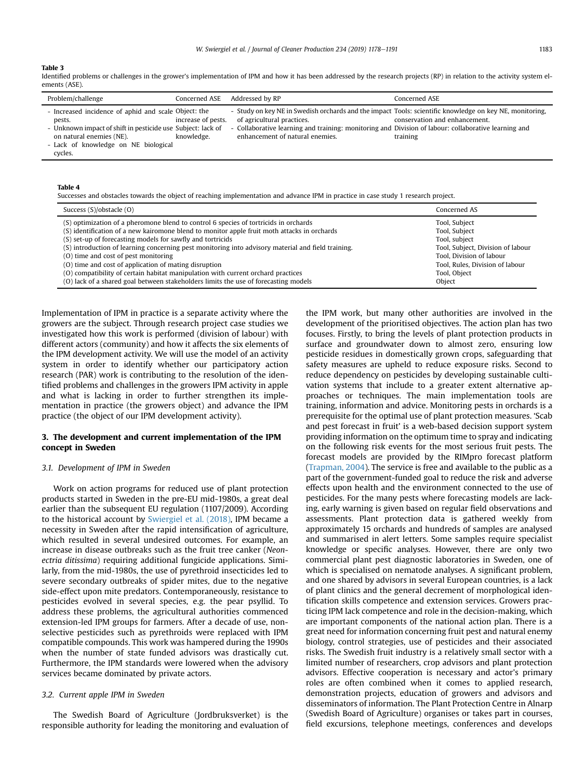## <span id="page-5-0"></span>Table 3

Identified problems or challenges in the grower's implementation of IPM and how it has been addressed by the research projects (RP) in relation to the activity system elements (ASE).

| Problem/challenge                                                                                                                                                                                            | Concerned ASE                    | Addressed by RP                                                                                                                                                                                                                                                                  | Concerned ASE                             |
|--------------------------------------------------------------------------------------------------------------------------------------------------------------------------------------------------------------|----------------------------------|----------------------------------------------------------------------------------------------------------------------------------------------------------------------------------------------------------------------------------------------------------------------------------|-------------------------------------------|
| - Increased incidence of aphid and scale Object: the<br>pests.<br>- Unknown impact of shift in pesticide use Subject: lack of<br>on natural enemies (NE).<br>- Lack of knowledge on NE biological<br>cycles. | increase of pests.<br>knowledge. | - Study on key NE in Swedish orchards and the impact Tools: scientific knowledge on key NE, monitoring,<br>of agricultural practices.<br>- Collaborative learning and training: monitoring and Division of labour: collaborative learning and<br>enhancement of natural enemies. | conservation and enhancement.<br>training |

### Table 4

Successes and obstacles towards the object of reaching implementation and advance IPM in practice in case study 1 research project.

| Success $(S)/obstackel (O)$                                                                        | Concerned AS                      |
|----------------------------------------------------------------------------------------------------|-----------------------------------|
| (S) optimization of a pheromone blend to control 6 species of tortricids in orchards               | Tool, Subject                     |
| (S) identification of a new kairomone blend to monitor apple fruit moth attacks in orchards        | Tool, Subject                     |
| (S) set-up of forecasting models for sawfly and tortricids                                         | Tool, subject                     |
| (S) introduction of learning concerning pest monitoring into advisory material and field training. | Tool, Subject, Division of labour |
| (0) time and cost of pest monitoring                                                               | Tool, Division of labour          |
| (0) time and cost of application of mating disruption                                              | Tool, Rules, Division of labour   |
| (O) compatibility of certain habitat manipulation with current orchard practices                   | Tool, Object                      |
| (O) lack of a shared goal between stakeholders limits the use of forecasting models                | Obiect                            |

Implementation of IPM in practice is a separate activity where the growers are the subject. Through research project case studies we investigated how this work is performed (division of labour) with different actors (community) and how it affects the six elements of the IPM development activity. We will use the model of an activity system in order to identify whether our participatory action research (PAR) work is contributing to the resolution of the identified problems and challenges in the growers IPM activity in apple and what is lacking in order to further strengthen its implementation in practice (the growers object) and advance the IPM practice (the object of our IPM development activity).

# 3. The development and current implementation of the IPM concept in Sweden

# 3.1. Development of IPM in Sweden

Work on action programs for reduced use of plant protection products started in Sweden in the pre-EU mid-1980s, a great deal earlier than the subsequent EU regulation (1107/2009). According to the historical account by [Swiergiel et al. \(2018\),](#page-13-0) IPM became a necessity in Sweden after the rapid intensification of agriculture, which resulted in several undesired outcomes. For example, an increase in disease outbreaks such as the fruit tree canker (Neonectria ditissima) requiring additional fungicide applications. Similarly, from the mid-1980s, the use of pyrethroid insecticides led to severe secondary outbreaks of spider mites, due to the negative side-effect upon mite predators. Contemporaneously, resistance to pesticides evolved in several species, e.g. the pear psyllid. To address these problems, the agricultural authorities commenced extension-led IPM groups for farmers. After a decade of use, nonselective pesticides such as pyrethroids were replaced with IPM compatible compounds. This work was hampered during the 1990s when the number of state funded advisors was drastically cut. Furthermore, the IPM standards were lowered when the advisory services became dominated by private actors.

# 3.2. Current apple IPM in Sweden

The Swedish Board of Agriculture (Jordbruksverket) is the responsible authority for leading the monitoring and evaluation of the IPM work, but many other authorities are involved in the development of the prioritised objectives. The action plan has two focuses. Firstly, to bring the levels of plant protection products in surface and groundwater down to almost zero, ensuring low pesticide residues in domestically grown crops, safeguarding that safety measures are upheld to reduce exposure risks. Second to reduce dependency on pesticides by developing sustainable cultivation systems that include to a greater extent alternative approaches or techniques. The main implementation tools are training, information and advice. Monitoring pests in orchards is a prerequisite for the optimal use of plant protection measures. 'Scab and pest forecast in fruit' is a web-based decision support system providing information on the optimum time to spray and indicating on the following risk events for the most serious fruit pests. The forecast models are provided by the RIMpro forecast platform ([Trapman, 2004](#page-13-0)). The service is free and available to the public as a part of the government-funded goal to reduce the risk and adverse effects upon health and the environment connected to the use of pesticides. For the many pests where forecasting models are lacking, early warning is given based on regular field observations and assessments. Plant protection data is gathered weekly from approximately 15 orchards and hundreds of samples are analysed and summarised in alert letters. Some samples require specialist knowledge or specific analyses. However, there are only two commercial plant pest diagnostic laboratories in Sweden, one of which is specialised on nematode analyses. A significant problem, and one shared by advisors in several European countries, is a lack of plant clinics and the general decrement of morphological identification skills competence and extension services. Growers practicing IPM lack competence and role in the decision-making, which are important components of the national action plan. There is a great need for information concerning fruit pest and natural enemy biology, control strategies, use of pesticides and their associated risks. The Swedish fruit industry is a relatively small sector with a limited number of researchers, crop advisors and plant protection advisors. Effective cooperation is necessary and actor's primary roles are often combined when it comes to applied research, demonstration projects, education of growers and advisors and disseminators of information. The Plant Protection Centre in Alnarp (Swedish Board of Agriculture) organises or takes part in courses, field excursions, telephone meetings, conferences and develops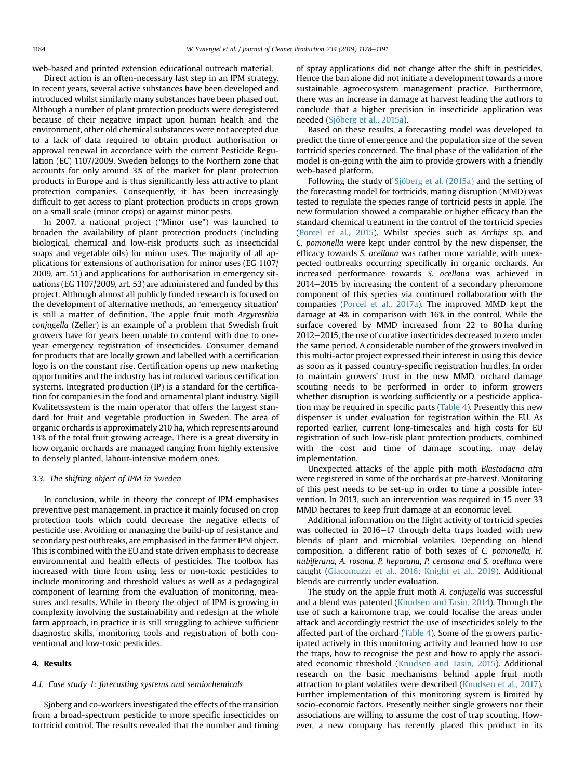web-based and printed extension educational outreach material.

Direct action is an often-necessary last step in an IPM strategy. In recent years, several active substances have been developed and introduced whilst similarly many substances have been phased out. Although a number of plant protection products were deregistered because of their negative impact upon human health and the environment, other old chemical substances were not accepted due to a lack of data required to obtain product authorisation or approval renewal in accordance with the current Pesticide Regulation (EC) 1107/2009. Sweden belongs to the Northern zone that accounts for only around 3% of the market for plant protection products in Europe and is thus significantly less attractive to plant protection companies. Consequently, it has been increasingly difficult to get access to plant protection products in crops grown on a small scale (minor crops) or against minor pests.

In 2007, a national project ("Minor use") was launched to broaden the availability of plant protection products (including biological, chemical and low-risk products such as insecticidal soaps and vegetable oils) for minor uses. The majority of all applications for extensions of authorisation for minor uses (EG 1107/ 2009, art. 51) and applications for authorisation in emergency situations (EG 1107/2009, art. 53) are administered and funded by this project. Although almost all publicly funded research is focused on the development of alternative methods, an 'emergency situation' is still a matter of definition. The apple fruit moth Argyresthia conjugella (Zeller) is an example of a problem that Swedish fruit growers have for years been unable to contend with due to oneyear emergency registration of insecticides. Consumer demand for products that are locally grown and labelled with a certification logo is on the constant rise. Certification opens up new marketing opportunities and the industry has introduced various certification systems. Integrated production (IP) is a standard for the certification for companies in the food and ornamental plant industry. Sigill Kvalitetssystem is the main operator that offers the largest standard for fruit and vegetable production in Sweden. The area of organic orchards is approximately 210 ha, which represents around 13% of the total fruit growing acreage. There is a great diversity in how organic orchards are managed ranging from highly extensive to densely planted, labour-intensive modern ones.

## 3.3. The shifting object of IPM in Sweden

In conclusion, while in theory the concept of IPM emphasises preventive pest management, in practice it mainly focused on crop protection tools which could decrease the negative effects of pesticide use. Avoiding or managing the build-up of resistance and secondary pest outbreaks, are emphasised in the farmer IPM object. This is combined with the EU and state driven emphasis to decrease environmental and health effects of pesticides. The toolbox has increased with time from using less or non-toxic pesticides to include monitoring and threshold values as well as a pedagogical component of learning from the evaluation of monitoring, measures and results. While in theory the object of IPM is growing in complexity involving the sustainability and redesign at the whole farm approach, in practice it is still struggling to achieve sufficient diagnostic skills, monitoring tools and registration of both conventional and low-toxic pesticides.

# 4. Results

# 4.1. Case study 1: forecasting systems and semiochemicals

Sjöberg and co-workers investigated the effects of the transition from a broad-spectrum pesticide to more specific insecticides on tortricid control. The results revealed that the number and timing of spray applications did not change after the shift in pesticides. Hence the ban alone did not initiate a development towards a more sustainable agroecosystem management practice. Furthermore, there was an increase in damage at harvest leading the authors to conclude that a higher precision in insecticide application was needed (Sjöberg et al., 2015a).

Based on these results, a forecasting model was developed to predict the time of emergence and the population size of the seven tortricid species concerned. The final phase of the validation of the model is on-going with the aim to provide growers with a friendly web-based platform.

Following the study of Sjöberg et al. (2015a) and the setting of the forecasting model for tortricids, mating disruption (MMD) was tested to regulate the species range of tortricid pests in apple. The new formulation showed a comparable or higher efficacy than the standard chemical treatment in the control of the tortricid species ([Porcel et al., 2015\)](#page-12-0). Whilst species such as Archips sp. and C. pomonella were kept under control by the new dispenser, the efficacy towards S. ocellana was rather more variable, with unexpected outbreaks occurring specifically in organic orchards. An increased performance towards S. ocellana was achieved in  $2014-2015$  by increasing the content of a secondary pheromone component of this species via continued collaboration with the companies ([Porcel et al., 2017a\)](#page-12-0). The improved MMD kept the damage at 4% in comparison with 16% in the control. While the surface covered by MMD increased from 22 to 80 ha during 2012–2015, the use of curative insecticides decreased to zero under the same period. A considerable number of the growers involved in this multi-actor project expressed their interest in using this device as soon as it passed country-specific registration hurdles. In order to maintain growers' trust in the new MMD, orchard damage scouting needs to be performed in order to inform growers whether disruption is working sufficiently or a pesticide application may be required in specific parts ([Table 4](#page-5-0)). Presently this new dispenser is under evaluation for registration within the EU. As reported earlier, current long-timescales and high costs for EU registration of such low-risk plant protection products, combined with the cost and time of damage scouting, may delay implementation.

Unexpected attacks of the apple pith moth Blastodacna atra were registered in some of the orchards at pre-harvest. Monitoring of this pest needs to be set-up in order to time a possible intervention. In 2013, such an intervention was required in 15 over 33 MMD hectares to keep fruit damage at an economic level.

Additional information on the flight activity of tortricid species was collected in 2016-17 through delta traps loaded with new blends of plant and microbial volatiles. Depending on blend composition, a different ratio of both sexes of C. pomonella, H. nubiferana, A. rosana, P. heparana, P. cerasana and S. ocellana were caught [\(Giacomuzzi et al., 2016;](#page-12-0) [Knight et al., 2019\)](#page-12-0). Additional blends are currently under evaluation.

The study on the apple fruit moth A. conjugella was successful and a blend was patented ([Knudsen and Tasin, 2014\)](#page-12-0). Through the use of such a kairomone trap, we could localise the areas under attack and accordingly restrict the use of insecticides solely to the affected part of the orchard ([Table 4\)](#page-5-0). Some of the growers participated actively in this monitoring activity and learned how to use the traps, how to recognise the pest and how to apply the associated economic threshold ([Knudsen and Tasin, 2015\)](#page-12-0). Additional research on the basic mechanisms behind apple fruit moth attraction to plant volatiles were described [\(Knudsen et al., 2017\)](#page-12-0). Further implementation of this monitoring system is limited by socio-economic factors. Presently neither single growers nor their associations are willing to assume the cost of trap scouting. However, a new company has recently placed this product in its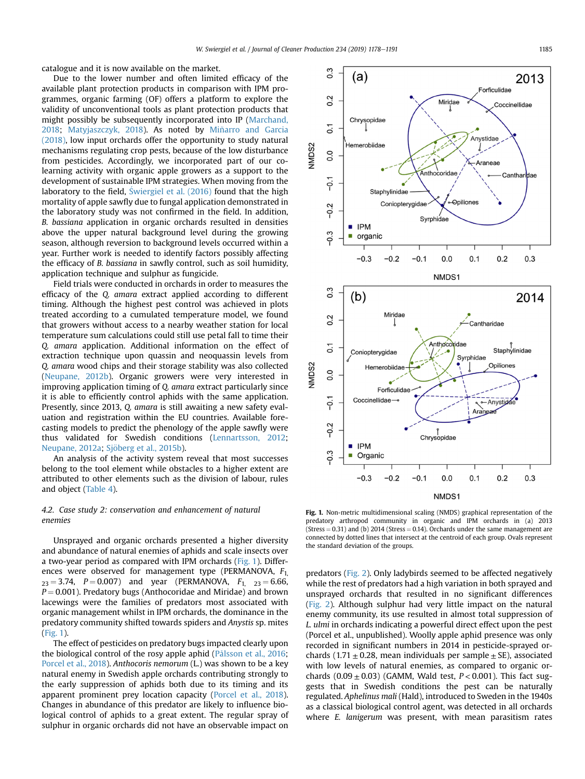<span id="page-7-0"></span>catalogue and it is now available on the market.

Due to the lower number and often limited efficacy of the available plant protection products in comparison with IPM programmes, organic farming (OF) offers a platform to explore the validity of unconventional tools as plant protection products that might possibly be subsequently incorporated into IP [\(Marchand,](#page-12-0) [2018;](#page-12-0) [Matyjaszczyk, 2018\)](#page-12-0). As noted by Miñarro and Garcia [\(2018\),](#page-12-0) low input orchards offer the opportunity to study natural mechanisms regulating crop pests, because of the low disturbance from pesticides. Accordingly, we incorporated part of our colearning activity with organic apple growers as a support to the development of sustainable IPM strategies. When moving from the laboratory to the field, Ś[wiergiel et al. \(2016\)](#page-13-0) found that the high mortality of apple sawfly due to fungal application demonstrated in the laboratory study was not confirmed in the field. In addition, B. bassiana application in organic orchards resulted in densities above the upper natural background level during the growing season, although reversion to background levels occurred within a year. Further work is needed to identify factors possibly affecting the efficacy of B. bassiana in sawfly control, such as soil humidity, application technique and sulphur as fungicide.

Field trials were conducted in orchards in order to measures the efficacy of the Q. amara extract applied according to different timing. Although the highest pest control was achieved in plots treated according to a cumulated temperature model, we found that growers without access to a nearby weather station for local temperature sum calculations could still use petal fall to time their Q. amara application. Additional information on the effect of extraction technique upon quassin and neoquassin levels from Q. amara wood chips and their storage stability was also collected ([Neupane, 2012b](#page-12-0)). Organic growers were very interested in improving application timing of Q. amara extract particularly since it is able to efficiently control aphids with the same application. Presently, since 2013, Q. amara is still awaiting a new safety evaluation and registration within the EU countries. Available forecasting models to predict the phenology of the apple sawfly were thus validated for Swedish conditions ([Lennartsson, 2012;](#page-12-0) [Neupane, 2012a](#page-12-0); [Sj](#page-12-0)ö[berg et al., 2015b](#page-12-0)).

An analysis of the activity system reveal that most successes belong to the tool element while obstacles to a higher extent are attributed to other elements such as the division of labour, rules and object ([Table 4\)](#page-5-0).

# 4.2. Case study 2: conservation and enhancement of natural enemies

Unsprayed and organic orchards presented a higher diversity and abundance of natural enemies of aphids and scale insects over a two-year period as compared with IPM orchards ( $Fig. 1$ ). Differences were observed for management type (PERMANOVA,  $F_{1}$ ,  $23 = 3.74$ ,  $P = 0.007$ ) and year (PERMANOVA,  $F_{1}$ ,  $23 = 6.66$ ,  $P = 0.001$ ). Predatory bugs (Anthocoridae and Miridae) and brown lacewings were the families of predators most associated with organic management whilst in IPM orchards, the dominance in the predatory community shifted towards spiders and Anystis sp. mites (Fig. 1).

The effect of pesticides on predatory bugs impacted clearly upon the biological control of the rosy apple aphid ([Pålsson et al., 2016;](#page-12-0) [Porcel et al., 2018](#page-12-0)). Anthocoris nemorum (L.) was shown to be a key natural enemy in Swedish apple orchards contributing strongly to the early suppression of aphids both due to its timing and its apparent prominent prey location capacity ([Porcel et al., 2018\)](#page-12-0). Changes in abundance of this predator are likely to influence biological control of aphids to a great extent. The regular spray of sulphur in organic orchards did not have an observable impact on



Fig. 1. Non-metric multidimensional scaling (NMDS) graphical representation of the predatory arthropod community in organic and IPM orchards in (a) 2013  $(Stress = 0.31)$  and  $(b)$  2014 (Stress = 0.14). Orchards under the same management are connected by dotted lines that intersect at the centroid of each group. Ovals represent the standard deviation of the groups.

predators [\(Fig. 2](#page-8-0)). Only ladybirds seemed to be affected negatively while the rest of predators had a high variation in both sprayed and unsprayed orchards that resulted in no significant differences ([Fig. 2](#page-8-0)). Although sulphur had very little impact on the natural enemy community, its use resulted in almost total suppression of L. ulmi in orchards indicating a powerful direct effect upon the pest (Porcel et al., unpublished). Woolly apple aphid presence was only recorded in significant numbers in 2014 in pesticide-sprayed orchards (1.71  $\pm$  0.28, mean individuals per sample  $\pm$  SE), associated with low levels of natural enemies, as compared to organic orchards  $(0.09 \pm 0.03)$  (GAMM, Wald test,  $P < 0.001$ ). This fact suggests that in Swedish conditions the pest can be naturally regulated. Aphelinus mali (Hald), introduced to Sweden in the 1940s as a classical biological control agent, was detected in all orchards where E. lanigerum was present, with mean parasitism rates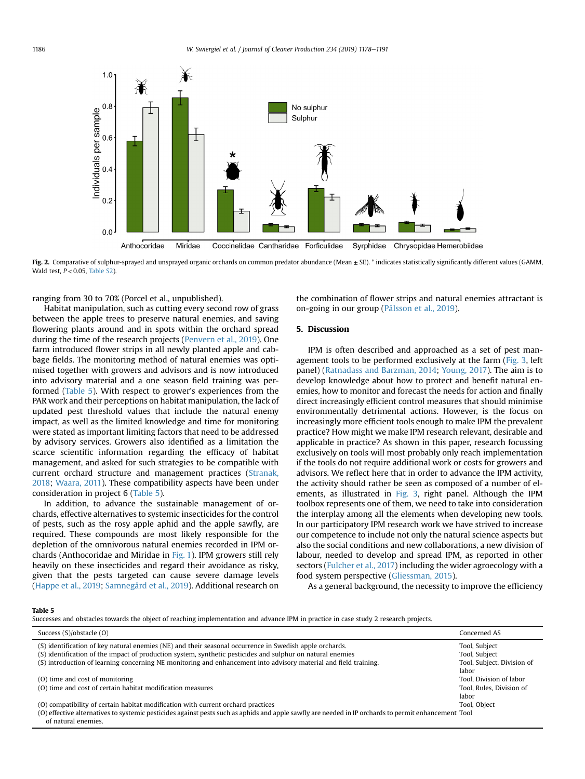<span id="page-8-0"></span>

Fig. 2. Comparative of sulphur-sprayed and unsprayed organic orchards on common predator abundance (Mean  $\pm$  SE). \* indicates statistically significantly different values (GAMM, Wald test,  $P < 0.05$ , Table S2).

ranging from 30 to 70% (Porcel et al., unpublished).

Habitat manipulation, such as cutting every second row of grass between the apple trees to preserve natural enemies, and saving flowering plants around and in spots within the orchard spread during the time of the research projects [\(Penvern et al., 2019\)](#page-12-0). One farm introduced flower strips in all newly planted apple and cabbage fields. The monitoring method of natural enemies was optimised together with growers and advisors and is now introduced into advisory material and a one season field training was performed (Table 5). With respect to grower's experiences from the PAR work and their perceptions on habitat manipulation, the lack of updated pest threshold values that include the natural enemy impact, as well as the limited knowledge and time for monitoring were stated as important limiting factors that need to be addressed by advisory services. Growers also identified as a limitation the scarce scientific information regarding the efficacy of habitat management, and asked for such strategies to be compatible with current orchard structure and management practices [\(Stranak,](#page-12-0) [2018;](#page-12-0) [Waara, 2011\)](#page-13-0). These compatibility aspects have been under consideration in project 6 (Table 5).

In addition, to advance the sustainable management of orchards, effective alternatives to systemic insecticides for the control of pests, such as the rosy apple aphid and the apple sawfly, are required. These compounds are most likely responsible for the depletion of the omnivorous natural enemies recorded in IPM orchards (Anthocoridae and Miridae in [Fig. 1\)](#page-7-0). IPM growers still rely heavily on these insecticides and regard their avoidance as risky, given that the pests targeted can cause severe damage levels ([Happe et al., 2019](#page-12-0); [Samnegård et al., 2019\)](#page-12-0). Additional research on the combination of flower strips and natural enemies attractant is on-going in our group [\(Pålsson et al., 2019](#page-12-0)).

## 5. Discussion

IPM is often described and approached as a set of pest management tools to be performed exclusively at the farm [\(Fig. 3,](#page-9-0) left panel) [\(Ratnadass and Barzman, 2014;](#page-12-0) [Young, 2017\)](#page-13-0). The aim is to develop knowledge about how to protect and benefit natural enemies, how to monitor and forecast the needs for action and finally direct increasingly efficient control measures that should minimise environmentally detrimental actions. However, is the focus on increasingly more efficient tools enough to make IPM the prevalent practice? How might we make IPM research relevant, desirable and applicable in practice? As shown in this paper, research focussing exclusively on tools will most probably only reach implementation if the tools do not require additional work or costs for growers and advisors. We reflect here that in order to advance the IPM activity, the activity should rather be seen as composed of a number of elements, as illustrated in [Fig. 3](#page-9-0), right panel. Although the IPM toolbox represents one of them, we need to take into consideration the interplay among all the elements when developing new tools. In our participatory IPM research work we have strived to increase our competence to include not only the natural science aspects but also the social conditions and new collaborations, a new division of labour, needed to develop and spread IPM, as reported in other sectors [\(Fulcher et al., 2017](#page-12-0)) including the wider agroecology with a food system perspective [\(Gliessman, 2015\)](#page-12-0).

As a general background, the necessity to improve the efficiency

### Table 5

Successes and obstacles towards the object of reaching implementation and advance IPM in practice in case study 2 research projects.

| Success $(S)/obstackel (O)$                                                                                                                                                                                                                                                                                                               | Concerned AS                                                          |
|-------------------------------------------------------------------------------------------------------------------------------------------------------------------------------------------------------------------------------------------------------------------------------------------------------------------------------------------|-----------------------------------------------------------------------|
| (S) identification of key natural enemies (NE) and their seasonal occurrence in Swedish apple orchards.<br>(S) identification of the impact of production system, synthetic pesticides and sulphur on natural enemies<br>(S) introduction of learning concerning NE monitoring and enhancement into advisory material and field training. | Tool, Subject<br>Tool, Subject<br>Tool, Subject, Division of<br>labor |
| (0) time and cost of monitoring<br>(O) time and cost of certain habitat modification measures                                                                                                                                                                                                                                             | Tool, Division of labor<br>Tool, Rules, Division of<br>labor          |
| (O) compatibility of certain habitat modification with current orchard practices<br>(O) effective alternatives to systemic pesticides against pests such as aphids and apple sawfly are needed in IP orchards to permit enhancement Tool<br>of natural enemies.                                                                           | Tool, Object                                                          |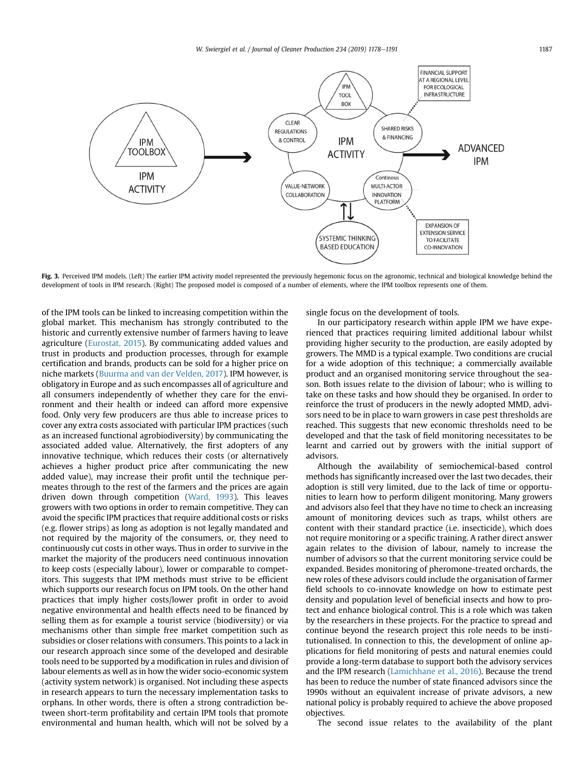<span id="page-9-0"></span>

Fig. 3. Perceived IPM models. (Left) The earlier IPM activity model represented the previously hegemonic focus on the agronomic, technical and biological knowledge behind the development of tools in IPM research. (Right) The proposed model is composed of a number of elements, where the IPM toolbox represents one of them.

of the IPM tools can be linked to increasing competition within the global market. This mechanism has strongly contributed to the historic and currently extensive number of farmers having to leave agriculture ([Eurostat, 2015](#page-12-0)). By communicating added values and trust in products and production processes, through for example certification and brands, products can be sold for a higher price on niche markets ([Buurma and van der Velden, 2017](#page-11-0)). IPM however, is obligatory in Europe and as such encompasses all of agriculture and all consumers independently of whether they care for the environment and their health or indeed can afford more expensive food. Only very few producers are thus able to increase prices to cover any extra costs associated with particular IPM practices (such as an increased functional agrobiodiversity) by communicating the associated added value. Alternatively, the first adopters of any innovative technique, which reduces their costs (or alternatively achieves a higher product price after communicating the new added value), may increase their profit until the technique permeates through to the rest of the farmers and the prices are again driven down through competition ([Ward, 1993\)](#page-13-0). This leaves growers with two options in order to remain competitive. They can avoid the specific IPM practices that require additional costs or risks (e.g. flower strips) as long as adoption is not legally mandated and not required by the majority of the consumers, or, they need to continuously cut costs in other ways. Thus in order to survive in the market the majority of the producers need continuous innovation to keep costs (especially labour), lower or comparable to competitors. This suggests that IPM methods must strive to be efficient which supports our research focus on IPM tools. On the other hand practices that imply higher costs/lower profit in order to avoid negative environmental and health effects need to be financed by selling them as for example a tourist service (biodiversity) or via mechanisms other than simple free market competition such as subsidies or closer relations with consumers. This points to a lack in our research approach since some of the developed and desirable tools need to be supported by a modification in rules and division of labour elements as well as in how the wider socio-economic system (activity system network) is organised. Not including these aspects in research appears to turn the necessary implementation tasks to orphans. In other words, there is often a strong contradiction between short-term profitability and certain IPM tools that promote environmental and human health, which will not be solved by a single focus on the development of tools.

In our participatory research within apple IPM we have experienced that practices requiring limited additional labour whilst providing higher security to the production, are easily adopted by growers. The MMD is a typical example. Two conditions are crucial for a wide adoption of this technique; a commercially available product and an organised monitoring service throughout the season. Both issues relate to the division of labour; who is willing to take on these tasks and how should they be organised. In order to reinforce the trust of producers in the newly adopted MMD, advisors need to be in place to warn growers in case pest thresholds are reached. This suggests that new economic thresholds need to be developed and that the task of field monitoring necessitates to be learnt and carried out by growers with the initial support of advisors.

Although the availability of semiochemical-based control methods has significantly increased over the last two decades, their adoption is still very limited, due to the lack of time or opportunities to learn how to perform diligent monitoring. Many growers and advisors also feel that they have no time to check an increasing amount of monitoring devices such as traps, whilst others are content with their standard practice (i.e. insecticide), which does not require monitoring or a specific training. A rather direct answer again relates to the division of labour, namely to increase the number of advisors so that the current monitoring service could be expanded. Besides monitoring of pheromone-treated orchards, the new roles of these advisors could include the organisation of farmer field schools to co-innovate knowledge on how to estimate pest density and population level of beneficial insects and how to protect and enhance biological control. This is a role which was taken by the researchers in these projects. For the practice to spread and continue beyond the research project this role needs to be institutionalised. In connection to this, the development of online applications for field monitoring of pests and natural enemies could provide a long-term database to support both the advisory services and the IPM research ([Lamichhane et al., 2016](#page-12-0)). Because the trend has been to reduce the number of state financed advisors since the 1990s without an equivalent increase of private advisors, a new national policy is probably required to achieve the above proposed objectives.

The second issue relates to the availability of the plant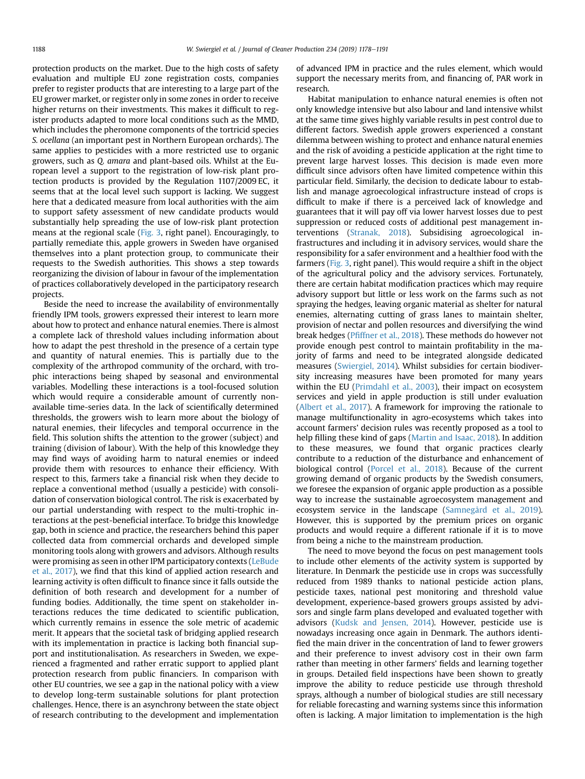protection products on the market. Due to the high costs of safety evaluation and multiple EU zone registration costs, companies prefer to register products that are interesting to a large part of the EU grower market, or register only in some zones in order to receive higher returns on their investments. This makes it difficult to register products adapted to more local conditions such as the MMD, which includes the pheromone components of the tortricid species S. ocellana (an important pest in Northern European orchards). The same applies to pesticides with a more restricted use to organic growers, such as Q. amara and plant-based oils. Whilst at the European level a support to the registration of low-risk plant protection products is provided by the Regulation 1107/2009 EC, it seems that at the local level such support is lacking. We suggest here that a dedicated measure from local authorities with the aim to support safety assessment of new candidate products would substantially help spreading the use of low-risk plant protection means at the regional scale [\(Fig. 3,](#page-9-0) right panel). Encouragingly, to partially remediate this, apple growers in Sweden have organised themselves into a plant protection group, to communicate their requests to the Swedish authorities. This shows a step towards reorganizing the division of labour in favour of the implementation of practices collaboratively developed in the participatory research projects.

Beside the need to increase the availability of environmentally friendly IPM tools, growers expressed their interest to learn more about how to protect and enhance natural enemies. There is almost a complete lack of threshold values including information about how to adapt the pest threshold in the presence of a certain type and quantity of natural enemies. This is partially due to the complexity of the arthropod community of the orchard, with trophic interactions being shaped by seasonal and environmental variables. Modelling these interactions is a tool-focused solution which would require a considerable amount of currently nonavailable time-series data. In the lack of scientifically determined thresholds, the growers wish to learn more about the biology of natural enemies, their lifecycles and temporal occurrence in the field. This solution shifts the attention to the grower (subject) and training (division of labour). With the help of this knowledge they may find ways of avoiding harm to natural enemies or indeed provide them with resources to enhance their efficiency. With respect to this, farmers take a financial risk when they decide to replace a conventional method (usually a pesticide) with consolidation of conservation biological control. The risk is exacerbated by our partial understanding with respect to the multi-trophic interactions at the pest-beneficial interface. To bridge this knowledge gap, both in science and practice, the researchers behind this paper collected data from commercial orchards and developed simple monitoring tools along with growers and advisors. Although results were promising as seen in other IPM participatory contexts [\(LeBude](#page-12-0) [et al., 2017](#page-12-0)), we find that this kind of applied action research and learning activity is often difficult to finance since it falls outside the definition of both research and development for a number of funding bodies. Additionally, the time spent on stakeholder interactions reduces the time dedicated to scientific publication, which currently remains in essence the sole metric of academic merit. It appears that the societal task of bridging applied research with its implementation in practice is lacking both financial support and institutionalisation. As researchers in Sweden, we experienced a fragmented and rather erratic support to applied plant protection research from public financiers. In comparison with other EU countries, we see a gap in the national policy with a view to develop long-term sustainable solutions for plant protection challenges. Hence, there is an asynchrony between the state object of research contributing to the development and implementation of advanced IPM in practice and the rules element, which would support the necessary merits from, and financing of, PAR work in research.

Habitat manipulation to enhance natural enemies is often not only knowledge intensive but also labour and land intensive whilst at the same time gives highly variable results in pest control due to different factors. Swedish apple growers experienced a constant dilemma between wishing to protect and enhance natural enemies and the risk of avoiding a pesticide application at the right time to prevent large harvest losses. This decision is made even more difficult since advisors often have limited competence within this particular field. Similarly, the decision to dedicate labour to establish and manage agroecological infrastructure instead of crops is difficult to make if there is a perceived lack of knowledge and guarantees that it will pay off via lower harvest losses due to pest suppression or reduced costs of additional pest management interventions ([Stranak, 2018\)](#page-12-0). Subsidising agroecological infrastructures and including it in advisory services, would share the responsibility for a safer environment and a healthier food with the farmers [\(Fig. 3,](#page-9-0) right panel). This would require a shift in the object of the agricultural policy and the advisory services. Fortunately, there are certain habitat modification practices which may require advisory support but little or less work on the farms such as not spraying the hedges, leaving organic material as shelter for natural enemies, alternating cutting of grass lanes to maintain shelter, provision of nectar and pollen resources and diversifying the wind break hedges (Pfi[ffner et al., 2018](#page-12-0)). These methods do however not provide enough pest control to maintain profitability in the majority of farms and need to be integrated alongside dedicated measures ([Swiergiel, 2014](#page-13-0)). Whilst subsidies for certain biodiversity increasing measures have been promoted for many years within the EU ([Primdahl et al., 2003\)](#page-12-0), their impact on ecosystem services and yield in apple production is still under evaluation ([Albert et al., 2017\)](#page-11-0). A framework for improving the rationale to manage multifunctionality in agro-ecosystems which takes into account farmers' decision rules was recently proposed as a tool to help filling these kind of gaps ([Martin and Isaac, 2018](#page-12-0)). In addition to these measures, we found that organic practices clearly contribute to a reduction of the disturbance and enhancement of biological control ([Porcel et al., 2018](#page-12-0)). Because of the current growing demand of organic products by the Swedish consumers, we foresee the expansion of organic apple production as a possible way to increase the sustainable agroecosystem management and ecosystem service in the landscape ([Samnegård et al., 2019\)](#page-12-0). However, this is supported by the premium prices on organic products and would require a different rationale if it is to move from being a niche to the mainstream production.

The need to move beyond the focus on pest management tools to include other elements of the activity system is supported by literature. In Denmark the pesticide use in crops was successfully reduced from 1989 thanks to national pesticide action plans, pesticide taxes, national pest monitoring and threshold value development, experience-based growers groups assisted by advisors and single farm plans developed and evaluated together with advisors [\(Kudsk and Jensen, 2014](#page-12-0)). However, pesticide use is nowadays increasing once again in Denmark. The authors identified the main driver in the concentration of land to fewer growers and their preference to invest advisory cost in their own farm rather than meeting in other farmers' fields and learning together in groups. Detailed field inspections have been shown to greatly improve the ability to reduce pesticide use through threshold sprays, although a number of biological studies are still necessary for reliable forecasting and warning systems since this information often is lacking. A major limitation to implementation is the high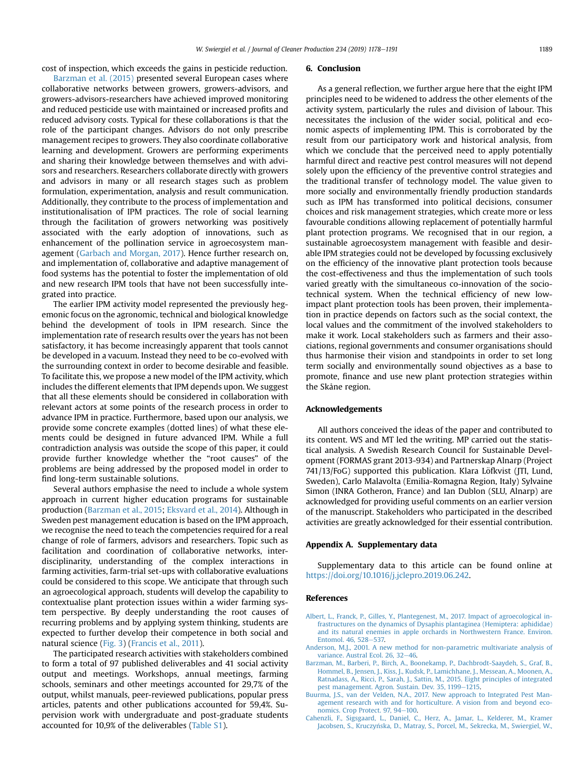<span id="page-11-0"></span>cost of inspection, which exceeds the gains in pesticide reduction.

Barzman et al. (2015) presented several European cases where collaborative networks between growers, growers-advisors, and growers-advisors-researchers have achieved improved monitoring and reduced pesticide use with maintained or increased profits and reduced advisory costs. Typical for these collaborations is that the role of the participant changes. Advisors do not only prescribe management recipes to growers. They also coordinate collaborative learning and development. Growers are performing experiments and sharing their knowledge between themselves and with advisors and researchers. Researchers collaborate directly with growers and advisors in many or all research stages such as problem formulation, experimentation, analysis and result communication. Additionally, they contribute to the process of implementation and institutionalisation of IPM practices. The role of social learning through the facilitation of growers networking was positively associated with the early adoption of innovations, such as enhancement of the pollination service in agroecosystem management [\(Garbach and Morgan, 2017\)](#page-12-0). Hence further research on, and implementation of, collaborative and adaptive management of food systems has the potential to foster the implementation of old and new research IPM tools that have not been successfully integrated into practice.

The earlier IPM activity model represented the previously hegemonic focus on the agronomic, technical and biological knowledge behind the development of tools in IPM research. Since the implementation rate of research results over the years has not been satisfactory, it has become increasingly apparent that tools cannot be developed in a vacuum. Instead they need to be co-evolved with the surrounding context in order to become desirable and feasible. To facilitate this, we propose a new model of the IPM activity, which includes the different elements that IPM depends upon. We suggest that all these elements should be considered in collaboration with relevant actors at some points of the research process in order to advance IPM in practice. Furthermore, based upon our analysis, we provide some concrete examples (dotted lines) of what these elements could be designed in future advanced IPM. While a full contradiction analysis was outside the scope of this paper, it could provide further knowledge whether the "root causes" of the problems are being addressed by the proposed model in order to find long-term sustainable solutions.

Several authors emphasise the need to include a whole system approach in current higher education programs for sustainable production (Barzman et al., 2015; [Eksvard et al., 2014](#page-12-0)). Although in Sweden pest management education is based on the IPM approach, we recognise the need to teach the competencies required for a real change of role of farmers, advisors and researchers. Topic such as facilitation and coordination of collaborative networks, interdisciplinarity, understanding of the complex interactions in farming activities, farm-trial set-ups with collaborative evaluations could be considered to this scope. We anticipate that through such an agroecological approach, students will develop the capability to contextualise plant protection issues within a wider farming system perspective. By deeply understanding the root causes of recurring problems and by applying system thinking, students are expected to further develop their competence in both social and natural science [\(Fig. 3](#page-9-0)) ([Francis et al., 2011](#page-12-0)).

The participated research activities with stakeholders combined to form a total of 97 published deliverables and 41 social activity output and meetings. Workshops, annual meetings, farming schools, seminars and other meetings accounted for 29,7% of the output, whilst manuals, peer-reviewed publications, popular press articles, patents and other publications accounted for 59,4%. Supervision work with undergraduate and post-graduate students accounted for 10,9% of the deliverables (Table S1).

#### 6. Conclusion

As a general reflection, we further argue here that the eight IPM principles need to be widened to address the other elements of the activity system, particularly the rules and division of labour. This necessitates the inclusion of the wider social, political and economic aspects of implementing IPM. This is corroborated by the result from our participatory work and historical analysis, from which we conclude that the perceived need to apply potentially harmful direct and reactive pest control measures will not depend solely upon the efficiency of the preventive control strategies and the traditional transfer of technology model. The value given to more socially and environmentally friendly production standards such as IPM has transformed into political decisions, consumer choices and risk management strategies, which create more or less favourable conditions allowing replacement of potentially harmful plant protection programs. We recognised that in our region, a sustainable agroecosystem management with feasible and desirable IPM strategies could not be developed by focussing exclusively on the efficiency of the innovative plant protection tools because the cost-effectiveness and thus the implementation of such tools varied greatly with the simultaneous co-innovation of the sociotechnical system. When the technical efficiency of new lowimpact plant protection tools has been proven, their implementation in practice depends on factors such as the social context, the local values and the commitment of the involved stakeholders to make it work. Local stakeholders such as farmers and their associations, regional governments and consumer organisations should thus harmonise their vision and standpoints in order to set long term socially and environmentally sound objectives as a base to promote, finance and use new plant protection strategies within the Skåne region.

### Acknowledgements

All authors conceived the ideas of the paper and contributed to its content. WS and MT led the writing. MP carried out the statistical analysis. A Swedish Research Council for Sustainable Development (FORMAS grant 2013-934) and Partnerskap Alnarp (Project 741/13/FoG) supported this publication. Klara Löfkvist (JTI, Lund, Sweden), Carlo Malavolta (Emilia-Romagna Region, Italy) Sylvaine Simon (INRA Gotheron, France) and Ian Dublon (SLU, Alnarp) are acknowledged for providing useful comments on an earlier version of the manuscript. Stakeholders who participated in the described activities are greatly acknowledged for their essential contribution.

## Appendix A. Supplementary data

Supplementary data to this article can be found online at [https://doi.org/10.1016/j.jclepro.2019.06.242.](https://doi.org/10.1016/j.jclepro.2019.06.242)

## References

- [Albert, L., Franck, P., Gilles, Y., Plantegenest, M., 2017. Impact of agroecological in](http://refhub.elsevier.com/S0959-6526(19)32207-3/sref1)[frastructures on the dynamics of Dysaphis plantaginea \(Hemiptera: aphididae\)](http://refhub.elsevier.com/S0959-6526(19)32207-3/sref1) [and its natural enemies in apple orchards in Northwestern France. Environ.](http://refhub.elsevier.com/S0959-6526(19)32207-3/sref1) [Entomol. 46, 528](http://refhub.elsevier.com/S0959-6526(19)32207-3/sref1)-[537.](http://refhub.elsevier.com/S0959-6526(19)32207-3/sref1)
- [Anderson, M.J., 2001. A new method for non-parametric multivariate analysis of](http://refhub.elsevier.com/S0959-6526(19)32207-3/sref2) [variance. Austral Ecol. 26, 32](http://refhub.elsevier.com/S0959-6526(19)32207-3/sref2)-[46.](http://refhub.elsevier.com/S0959-6526(19)32207-3/sref2)
- [Barzman, M., Barberi, P., Birch, A., Boonekamp, P., Dachbrodt-Saaydeh, S., Graf, B.,](http://refhub.elsevier.com/S0959-6526(19)32207-3/sref3) [Hommel, B., Jensen, J., Kiss, J., Kudsk, P., Lamichhane, J., Messean, A., Moonen, A.,](http://refhub.elsevier.com/S0959-6526(19)32207-3/sref3) [Ratnadass, A., Ricci, P., Sarah, J., Sattin, M., 2015. Eight principles of integrated](http://refhub.elsevier.com/S0959-6526(19)32207-3/sref3) [pest management. Agron. Sustain. Dev. 35, 1199](http://refhub.elsevier.com/S0959-6526(19)32207-3/sref3)-[1215.](http://refhub.elsevier.com/S0959-6526(19)32207-3/sref3)
- [Buurma, J.S., van der Velden, N.A., 2017. New approach to Integrated Pest Man](http://refhub.elsevier.com/S0959-6526(19)32207-3/sref4)[agement research with and for horticulture. A vision from and beyond eco](http://refhub.elsevier.com/S0959-6526(19)32207-3/sref4)[nomics. Crop Protect. 97, 94](http://refhub.elsevier.com/S0959-6526(19)32207-3/sref4)-[100](http://refhub.elsevier.com/S0959-6526(19)32207-3/sref4).
- [Cahenzli, F., Sigsgaard, L., Daniel, C., Herz, A., Jamar, L., Kelderer, M., Kramer](http://refhub.elsevier.com/S0959-6526(19)32207-3/sref5) Jacobsen, S., Kruczyńska, D., Matray, S., Porcel, M., Sekrecka, M., Swiergiel, W.,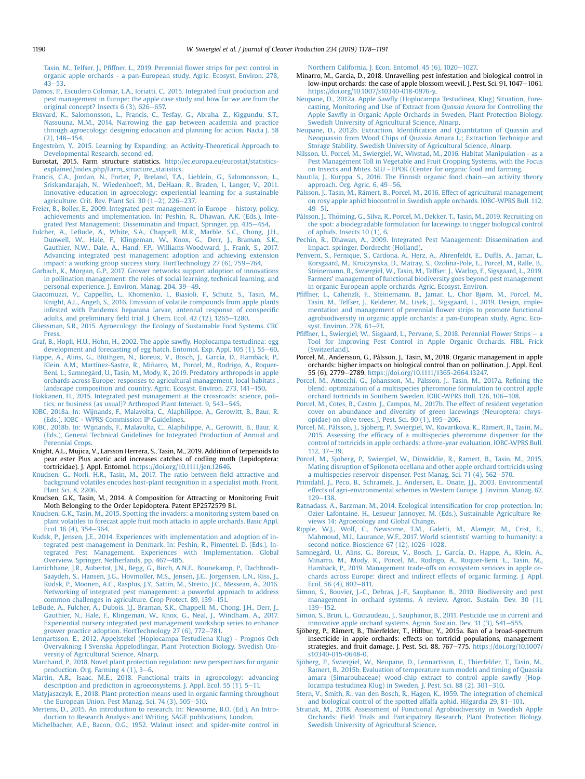<span id="page-12-0"></span>Tasin, M., Telfser, J., Pfiffner, L., 2019. Perennial fl[ower strips for pest control in](http://refhub.elsevier.com/S0959-6526(19)32207-3/sref5) [organic apple orchards - a pan-European study. Agric. Ecosyst. Environ. 278,](http://refhub.elsevier.com/S0959-6526(19)32207-3/sref5)  $43 - 53$  $43 - 53$ .

- [Damos, P., Escudero Colomar, L.A., Ioriatti, C., 2015. Integrated fruit production and](http://refhub.elsevier.com/S0959-6526(19)32207-3/sref6) [pest management in Europe: the apple case study and how far we are from the](http://refhub.elsevier.com/S0959-6526(19)32207-3/sref6) original concept? Insects  $6(3)$ ,  $626-657$ .
- [Eksvard, K., Salomonsson, L., Francis, C., Tesfay, G., Abraha, Z., Kiggundu, S.T.,](http://refhub.elsevier.com/S0959-6526(19)32207-3/sref7) [Nassuuna, M.M., 2014. Narrowing the gap between academia and practice](http://refhub.elsevier.com/S0959-6526(19)32207-3/sref7) [through agroecology: designing education and planning for action. Nacta J. 58](http://refhub.elsevier.com/S0959-6526(19)32207-3/sref7)  $(2)$ ,  $148-154$ .
- Engeström, Y., 2015. Learning by Expanding: an Activity-Theoretical Approach to [Developmental Research, second ed.](http://refhub.elsevier.com/S0959-6526(19)32207-3/sref8)
- Eurostat, 2015. Farm structure statistics. [http://ec.europa.eu/eurostat/statistics](http://ec.europa.eu/eurostat/statistics-explained/index.php/Farm_structure_statistics)[explained/index.php/Farm\\_structure\\_statistics.](http://ec.europa.eu/eurostat/statistics-explained/index.php/Farm_structure_statistics)
- [Francis, C.A., Jordan, N., Porter, P., Breland, T.A., Lieblein, G., Salomonsson, L.,](http://refhub.elsevier.com/S0959-6526(19)32207-3/sref10) [Sriskandarajah, N., Wiedenhoeft, M., DeHaan, R., Braden, I., Langer, V., 2011.](http://refhub.elsevier.com/S0959-6526(19)32207-3/sref10) [Innovative education in agroecology: experiential learning for a sustainable](http://refhub.elsevier.com/S0959-6526(19)32207-3/sref10) agriculture. Crit. Rev. Plant Sci. 30  $(1-2)$ , 226–[237.](http://refhub.elsevier.com/S0959-6526(19)32207-3/sref10)
- [Freier, B., Boller, E., 2009. Integrated pest management in Europe](http://refhub.elsevier.com/S0959-6526(19)32207-3/sref11) [history, policy,](http://refhub.elsevier.com/S0959-6526(19)32207-3/sref11) [achievements and implementation. In: Peshin, R., Dhawan, A.K. \(Eds.\), Inte](http://refhub.elsevier.com/S0959-6526(19)32207-3/sref11)[grated Pest Management: Disseminatin and Impact. Springer, pp. 435](http://refhub.elsevier.com/S0959-6526(19)32207-3/sref11)–[454.](http://refhub.elsevier.com/S0959-6526(19)32207-3/sref11)
- [Fulcher, A., LeBude, A., White, S.A., Chappell, M.R., Marble, S.C., Chong, J.H.,](http://refhub.elsevier.com/S0959-6526(19)32207-3/sref12) [Dunwell, W., Hale, F., Klingeman, W., Knox, G., Derr, J., Braman, S.K.,](http://refhub.elsevier.com/S0959-6526(19)32207-3/sref12) [Gauthier, N.W., Dale, A., Hand, F.P., Williams-Woodward, J., Frank, S., 2017.](http://refhub.elsevier.com/S0959-6526(19)32207-3/sref12) [Advancing integrated pest management adoption and achieving extension](http://refhub.elsevier.com/S0959-6526(19)32207-3/sref12)<br>[impact: a working group success story. HortTechnology 27 \(6\), 759](http://refhub.elsevier.com/S0959-6526(19)32207-3/sref12)–[764.](http://refhub.elsevier.com/S0959-6526(19)32207-3/sref12)
- [Garbach, K., Morgan, G.P., 2017. Grower networks support adoption of innovations](http://refhub.elsevier.com/S0959-6526(19)32207-3/sref13) [in pollination management: the roles of social learning, technical learning, and](http://refhub.elsevier.com/S0959-6526(19)32207-3/sref13) [personal experience. J. Environ. Manag. 204, 39](http://refhub.elsevier.com/S0959-6526(19)32207-3/sref13)-[49](http://refhub.elsevier.com/S0959-6526(19)32207-3/sref13).
- [Giacomuzzi, V., Cappellin, L., Khomenko, I., Biasioli, F., Schutz, S., Tasin, M.,](http://refhub.elsevier.com/S0959-6526(19)32207-3/sref14) [Knight, A.L., Angeli, S., 2016. Emission of volatile compounds from apple plants](http://refhub.elsevier.com/S0959-6526(19)32207-3/sref14) [infested with Pandemis heparana larvae, antennal response of conspeci](http://refhub.elsevier.com/S0959-6526(19)32207-3/sref14)fic adults, and preliminary fi[eld trial. J. Chem. Ecol. 42 \(12\), 1265](http://refhub.elsevier.com/S0959-6526(19)32207-3/sref14)-[1280.](http://refhub.elsevier.com/S0959-6526(19)32207-3/sref14)
- [Gliessman, S.R., 2015. Agroecology: the Ecology of Sustainable Food Systems. CRC](http://refhub.elsevier.com/S0959-6526(19)32207-3/sref15) [Press](http://refhub.elsevier.com/S0959-6526(19)32207-3/sref15).
- [Graf, B., Hopli, H.U., Hohn, H., 2002. The apple saw](http://refhub.elsevier.com/S0959-6526(19)32207-3/sref16)fly, Hoplocampa testudinea: egg [development and forecasting of egg hatch. Entomol. Exp. Appl. 105 \(1\), 55](http://refhub.elsevier.com/S0959-6526(19)32207-3/sref16)-[60](http://refhub.elsevier.com/S0959-6526(19)32207-3/sref16).
- [Happe, A., Alins, G., Blüthgen, N., Boreux, V., Bosch, J., García, D., Hamb](http://refhub.elsevier.com/S0959-6526(19)32207-3/sref17)äck, P., Klein, A.M., Martínez-Sastre, R., Miñarro, M., Porcel, M., Rodrigo, A., Roquer-[Beni, L., Samnegård, U., Tasin, M., Mody, K., 2019. Predatory arthropods in apple](http://refhub.elsevier.com/S0959-6526(19)32207-3/sref17) [orchards across Europe: responses to agricultural management, local habitats ,](http://refhub.elsevier.com/S0959-6526(19)32207-3/sref17) [landscape composition and country. Agric. Ecosyst. Environ. 273, 141](http://refhub.elsevier.com/S0959-6526(19)32207-3/sref17)-[150](http://refhub.elsevier.com/S0959-6526(19)32207-3/sref17).
- [Hokkanen, H., 2015. Integrated pest management at the crossroads: science, poli](http://refhub.elsevier.com/S0959-6526(19)32207-3/sref18)[tics, or business \(as usual\)? Arthropod Plant Interact. 9, 543](http://refhub.elsevier.com/S0959-6526(19)32207-3/sref18)-[545](http://refhub.elsevier.com/S0959-6526(19)32207-3/sref18).
- [IOBC, 2018a. In: Wijnands, F., Malavolta, C., Alaphilippe, A., Gerowitt, B., Baur, R.](http://refhub.elsevier.com/S0959-6526(19)32207-3/sref20) [\(Eds.\), IOBC - WPRS Commission IP Guidelines.](http://refhub.elsevier.com/S0959-6526(19)32207-3/sref20)
- [IOBC, 2018b. In: Wijnands, F., Malavolta, C., Alaphilippe, A., Gerowitt, B., Baur, R.](http://refhub.elsevier.com/S0959-6526(19)32207-3/sref19) [\(Eds.\), General Technical Guidelines for Integrated Production of Annual and](http://refhub.elsevier.com/S0959-6526(19)32207-3/sref19) [Perennial Crops.](http://refhub.elsevier.com/S0959-6526(19)32207-3/sref19)
- Knight, A.L., Mujica, V., Larsson Herrera, S., Tasin, M., 2019. Addition of terpenoids to pear ester Plus acetic acid increases catches of codling moth (Lepidoptera: tortricidae). J. Appl. Entomol. <https://doi.org/10.1111/jen.12646>.
- [Knudsen, G., Norli, H.R., Tasin, M., 2017. The ratio between](http://refhub.elsevier.com/S0959-6526(19)32207-3/sref22) field attractive and [background volatiles encodes host-plant recognition in a specialist moth. Front.](http://refhub.elsevier.com/S0959-6526(19)32207-3/sref22) [Plant Sci. 8, 2206.](http://refhub.elsevier.com/S0959-6526(19)32207-3/sref22)
- Knudsen, G.K., Tasin, M., 2014. A Composition for Attracting or Monitoring Fruit Moth Belonging to the Order Lepidoptera. Patent EP2572579 B1.
- [Knudsen, G.K., Tasin, M., 2015. Spotting the invaders: a monitoring system based on](http://refhub.elsevier.com/S0959-6526(19)32207-3/sref24) [plant volatiles to forecast apple fruit moth attacks in apple orchards. Basic Appl.](http://refhub.elsevier.com/S0959-6526(19)32207-3/sref24) [Ecol. 16 \(4\), 354](http://refhub.elsevier.com/S0959-6526(19)32207-3/sref24)-[364.](http://refhub.elsevier.com/S0959-6526(19)32207-3/sref24)
- [Kudsk, P., Jensen, J.E., 2014. Experiences with implementation and adoption of in](http://refhub.elsevier.com/S0959-6526(19)32207-3/sref25)[tegrated pest management in Denmark. In: Peshin, R., Pimentel, D. \(Eds.\), In](http://refhub.elsevier.com/S0959-6526(19)32207-3/sref25)[tegrated Pest Management. Experiences with Implementation. Global](http://refhub.elsevier.com/S0959-6526(19)32207-3/sref25) [Overview. Springer, Netherlands, pp. 467](http://refhub.elsevier.com/S0959-6526(19)32207-3/sref25)-[485.](http://refhub.elsevier.com/S0959-6526(19)32207-3/sref25)
- [Lamichhane, J.R., Aubertot, J.N., Begg, G., Birch, A.N.E., Boonekamp, P., Dachbrodt-](http://refhub.elsevier.com/S0959-6526(19)32207-3/sref26)[Saaydeh, S., Hansen, J.G., Hovmoller, M.S., Jensen, J.E., Jorgensen, L.N., Kiss, J.,](http://refhub.elsevier.com/S0959-6526(19)32207-3/sref26) [Kudsk, P., Moonen, A.C., Rasplus, J.Y., Sattin, M., Streito, J.C., Messean, A., 2016.](http://refhub.elsevier.com/S0959-6526(19)32207-3/sref26) [Networking of integrated pest management: a powerful approach to address](http://refhub.elsevier.com/S0959-6526(19)32207-3/sref26) [common challenges in agriculture. Crop Protect. 89, 139](http://refhub.elsevier.com/S0959-6526(19)32207-3/sref26)-[151.](http://refhub.elsevier.com/S0959-6526(19)32207-3/sref26)
- [LeBude, A., Fulcher, A., Dubois, J.J., Braman, S.K., Chappell, M., Chong, J.H., Derr, J.,](http://refhub.elsevier.com/S0959-6526(19)32207-3/sref27) [Gauthier, N., Hale, F., Klingeman, W., Knox, G., Neal, J., Windham, A., 2017.](http://refhub.elsevier.com/S0959-6526(19)32207-3/sref27) [Experiential nursery integrated pest management workshop series to enhance](http://refhub.elsevier.com/S0959-6526(19)32207-3/sref27) [grower practice adoption. HortTechnology 27 \(6\), 772](http://refhub.elsevier.com/S0959-6526(19)32207-3/sref27)-[781.](http://refhub.elsevier.com/S0959-6526(19)32207-3/sref27)
- [Lennartsson, E., 2012.](http://refhub.elsevier.com/S0959-6526(19)32207-3/sref28) Äppelstekel (Hoplocampa Testudiena Klug) Prognos Och Övervakning I Svenska Äppelodlingar, Plant Protection Biology. Swedish Uni[versity of Agricultural Science, Alnarp](http://refhub.elsevier.com/S0959-6526(19)32207-3/sref28).
- [Marchand, P., 2018. Novel plant protection regulation: new perspectives for organic](http://refhub.elsevier.com/S0959-6526(19)32207-3/sref29) production. Org. Farming  $4(1)$ ,  $3-6$  $3-6$ .
- [Martin, A.R., Isaac, M.E., 2018. Functional traits in agroecology: advancing](http://refhub.elsevier.com/S0959-6526(19)32207-3/sref30) description and prediction in agroecosystems. J. Appl. Ecol. 55  $(1)$ , 5-[11.](http://refhub.elsevier.com/S0959-6526(19)32207-3/sref30)
- [Matyjaszczyk, E., 2018. Plant protection means used in organic farming throughout](http://refhub.elsevier.com/S0959-6526(19)32207-3/sref31) the European Union. Pest Manag. Sci. 74  $(3)$ , 505-[510.](http://refhub.elsevier.com/S0959-6526(19)32207-3/sref31)
- [Mertens, D., 2015. An introduction to research. In: Newsome, B.O. \(Ed.\), An Intro](http://refhub.elsevier.com/S0959-6526(19)32207-3/sref32)[duction to Research Analysis and Writing. SAGE publications, London.](http://refhub.elsevier.com/S0959-6526(19)32207-3/sref32)
- [Michelbacher, A.E., Bacon, O.G., 1952. Walnut insect and spider-mite control in](http://refhub.elsevier.com/S0959-6526(19)32207-3/sref33)

[Northern California. J. Econ. Entomol. 45 \(6\), 1020](http://refhub.elsevier.com/S0959-6526(19)32207-3/sref33)-[1027.](http://refhub.elsevier.com/S0959-6526(19)32207-3/sref33)

- Minarro, M., Garcia, D., 2018. Unravelling pest infestation and biological control in low-input orchards: the case of apple blossom weevil. I. Pest. Sci. 91, 1047-1061. [https://doi.org/10.1007/s10340-018-0976-y.](https://doi.org/10.1007/s10340-018-0976-y)
- Neupane, D., 2012a. Apple Sawfl[y \(Hoplocampa Testudinea, Klug\) Situation, Fore](http://refhub.elsevier.com/S0959-6526(19)32207-3/sref35)[casting, Monitoring and Use of Extract from](http://refhub.elsevier.com/S0959-6526(19)32207-3/sref35) Quassia Amara for Controlling the Apple Sawfl[y in Organic Apple Orchards in Sweden, Plant Protection Biology.](http://refhub.elsevier.com/S0959-6526(19)32207-3/sref35) [Swedish University of Agricultural Science, Alnarp.](http://refhub.elsevier.com/S0959-6526(19)32207-3/sref35)
- Neupane, D., 2012b. Extraction, Identification and Ouantitation of Ouassin and [Neoquassin from Wood Chips of Quassia Amara L.; Extraction Technique and](http://refhub.elsevier.com/S0959-6526(19)32207-3/sref36) [Storage Stability. Swedish University of Agricultural Science, Alnarp.](http://refhub.elsevier.com/S0959-6526(19)32207-3/sref36)
- [Nilsson, U., Porcel, M., Swiergiel, W., Wivstad, M., 2016. Habitat Manipulation as a](http://refhub.elsevier.com/S0959-6526(19)32207-3/sref37) [Pest Management Toll in Vegetable and Fruit Cropping Systems, with the Focus](http://refhub.elsevier.com/S0959-6526(19)32207-3/sref37) [on Insects and Mites. SLU - EPOK \(Center for organic food and farming.](http://refhub.elsevier.com/S0959-6526(19)32207-3/sref37)
- [Nuutila, J., Kurppa, S., 2016. The Finnish organic food chain](http://refhub.elsevier.com/S0959-6526(19)32207-3/sref38)-[an activity theory](http://refhub.elsevier.com/S0959-6526(19)32207-3/sref38) approach. Org. Agric.  $6, 49-56$  $6, 49-56$ .
- [Pålsson, J., Tasin, M., Ramert, B., Porcel, M., 2016. Effect of agricultural management](http://refhub.elsevier.com/S0959-6526(19)32207-3/sref39) € [on rosy apple aphid biocontrol in Swedish apple orchards. IOBC-WPRS Bull. 112,](http://refhub.elsevier.com/S0959-6526(19)32207-3/sref39)  $49 - 51$  $49 - 51$
- [Pålsson, J., Th](http://refhub.elsevier.com/S0959-6526(19)32207-3/sref40)ö[ming, G., Silva, R., Porcel, M., Dekker, T., Tasin, M., 2019. Recruiting on](http://refhub.elsevier.com/S0959-6526(19)32207-3/sref40) [the spot: a biodegradable formulation for lacewings to trigger biological control](http://refhub.elsevier.com/S0959-6526(19)32207-3/sref40) [of aphids. Insects 10 \(1\), 6](http://refhub.elsevier.com/S0959-6526(19)32207-3/sref40).
- [Pechin, R., Dhawan, A., 2009. Integrated Pest Management: Dissemination and](http://refhub.elsevier.com/S0959-6526(19)32207-3/sref41) [Impact. springer, Dordrecht \(Holland\)](http://refhub.elsevier.com/S0959-6526(19)32207-3/sref41).
- [Penvern, S., Fernique, S., Cardona, A., Herz, A., Ahrenfeldt, E., Du](http://refhub.elsevier.com/S0959-6526(19)32207-3/sref42)fils, A., Jamar, L., [Korsgaard, M., Kruczynska, D., Matray, S., Ozolina-Pole, L., Porcel, M., Ralle, B.,](http://refhub.elsevier.com/S0959-6526(19)32207-3/sref42) [Steinemann, B., Swiergiel, W., Tasin, M., Telfser, J., Warlop, F., Sigsgaard, L., 2019.](http://refhub.elsevier.com/S0959-6526(19)32207-3/sref42) [Farmers' management of functional biodiversity goes beyond pest management](http://refhub.elsevier.com/S0959-6526(19)32207-3/sref42) [in organic European apple orchards. Agric. Ecosyst. Environ.](http://refhub.elsevier.com/S0959-6526(19)32207-3/sref42)
- Pfi[ffner, L., Cahenzli, F., Steinemann, B., Jamar, L., Chor Bjørn, M., Porcel, M.,](http://refhub.elsevier.com/S0959-6526(19)32207-3/sref43) [Tasin, M., Telfser, J., Kelderer, M., Lisek, J., Sigsgaard, L., 2019. Design, imple](http://refhub.elsevier.com/S0959-6526(19)32207-3/sref43)[mentation and management of perennial](http://refhub.elsevier.com/S0959-6526(19)32207-3/sref43) flower strips to promote functional [agrobiodiversity in organic apple orchards: a pan-European study. Agric. Eco](http://refhub.elsevier.com/S0959-6526(19)32207-3/sref43)[syst. Environ. 278, 61](http://refhub.elsevier.com/S0959-6526(19)32207-3/sref43)-[71.](http://refhub.elsevier.com/S0959-6526(19)32207-3/sref43)
- Pfi[ffner, L., Swiergiel, W., Sisgaard, L., Pervane, S., 2018. Perennial Flower Strips](http://refhub.elsevier.com/S0959-6526(19)32207-3/sref44) [a](http://refhub.elsevier.com/S0959-6526(19)32207-3/sref44) [Tool for Improving Pest Control in Apple Organic Orchards. FIBL, Frick](http://refhub.elsevier.com/S0959-6526(19)32207-3/sref44) [\(Switzerland\).](http://refhub.elsevier.com/S0959-6526(19)32207-3/sref44)
- Porcel, M., Andersson, G., Pålsson, J., Tasin, M., 2018. Organic management in apple orchards: higher impacts on biological control than on pollination. J. Appl. Ecol. 55 (6), 2779-2789. [https://doi.org/10.1111/1365-2664.13247.](https://doi.org/10.1111/1365-2664.13247)
- [Porcel, M., Attocchi, G., Johansson, M., Pålsson, J., Tasin, M., 2017a. Re](http://refhub.elsevier.com/S0959-6526(19)32207-3/sref46)fining the [blend: optimization of a multispecies pheromone formulation to control apple](http://refhub.elsevier.com/S0959-6526(19)32207-3/sref46) [orchard tortricids in Southern Sweden. IOBC-WPRS Bull. 126, 106](http://refhub.elsevier.com/S0959-6526(19)32207-3/sref46)-[108](http://refhub.elsevier.com/S0959-6526(19)32207-3/sref46).
- [Porcel, M., Cotes, B., Castro, J., Campos, M., 2017b. The effect of resident vegetation](http://refhub.elsevier.com/S0959-6526(19)32207-3/sref47) [cover on abundance and diversity of green lacewings \(Neuroptera: chrys](http://refhub.elsevier.com/S0959-6526(19)32207-3/sref47)opidae) on olive trees. J. Pest. Sci.  $90(1)$ ,  $195-206$  $195-206$ .
- [Porcel, M., Pålsson, J., Sj](http://refhub.elsevier.com/S0959-6526(19)32207-3/sref48)ö[berg, P., Swiergiel, W., Kovarikova, K., R](http://refhub.elsevier.com/S0959-6526(19)32207-3/sref48)ä[mert, B., Tasin, M.,](http://refhub.elsevier.com/S0959-6526(19)32207-3/sref48) 2015. Assessing the effi[cacy of a multispecies pheromone dispenser for the](http://refhub.elsevier.com/S0959-6526(19)32207-3/sref48) [control of tortricids in apple orchards: a three-year evaluation. IOBC-WPRS Bull.](http://refhub.elsevier.com/S0959-6526(19)32207-3/sref48)  $112, 37 - 39$  $112, 37 - 39$
- [Porcel, M., Sjoberg, P., Swiergiel, W., Dinwiddie, R., Ramert, B., Tasin, M., 2015.](http://refhub.elsevier.com/S0959-6526(19)32207-3/sref49) [Mating disruption of Spilonota ocellana and other apple orchard tortricids using](http://refhub.elsevier.com/S0959-6526(19)32207-3/sref49) [a multispecies reservoir dispenser. Pest Manag. Sci. 71 \(4\), 562](http://refhub.elsevier.com/S0959-6526(19)32207-3/sref49)-[570.](http://refhub.elsevier.com/S0959-6526(19)32207-3/sref49)
- [Primdahl, J., Peco, B., Schramek, J., Andersen, E., Onate, J.J., 2003. Environmental](http://refhub.elsevier.com/S0959-6526(19)32207-3/sref50) [effects of agri-environmental schemes in Western Europe. J. Environ. Manag. 67,](http://refhub.elsevier.com/S0959-6526(19)32207-3/sref50)  $129 - 138$  $129 - 138$ .
- [Ratnadass, A., Barzman, M., 2014. Ecological intensi](http://refhub.elsevier.com/S0959-6526(19)32207-3/sref51)fication for crop protection. In: [Ozier Lafontaine, H., Lesueur Jannoyer, M. \(Eds.\), Sustainable Agriculture Re](http://refhub.elsevier.com/S0959-6526(19)32207-3/sref51)[views 14: Agroecology and Global Change.](http://refhub.elsevier.com/S0959-6526(19)32207-3/sref51)
- [Ripple, W.J., Wolf, C., Newsome, T.M., Galetti, M., Alamgir, M., Crist, E.,](http://refhub.elsevier.com/S0959-6526(19)32207-3/sref52) [Mahmoud, M.I., Laurance, W.F., 2017. World scientists' warning to humanity: a](http://refhub.elsevier.com/S0959-6526(19)32207-3/sref52) [second notice. Bioscience 67 \(12\), 1026](http://refhub.elsevier.com/S0959-6526(19)32207-3/sref52)-[1028.](http://refhub.elsevier.com/S0959-6526(19)32207-3/sref52)
- [Samnegård, U., Alins, G., Boreux, V., Bosch, J., García, D., Happe, A., Klein, A.,](http://refhub.elsevier.com/S0959-6526(19)32207-3/sref53) [Minarro, M., Mody, K., Porcel, M., Rodrigo, A., Roquer-Beni, L., Tasin, M.,](http://refhub.elsevier.com/S0959-6526(19)32207-3/sref53) ~ [Hamb](http://refhub.elsevier.com/S0959-6526(19)32207-3/sref53)äck, P., 2019. Management trade-offs on ecosystem services in apple or[chards across Europe: direct and indirect effects of organic farming. J. Appl.](http://refhub.elsevier.com/S0959-6526(19)32207-3/sref53) Ecol. 56 (4),  $802 - 811$ .
- [Simon, S., Bouvier, J.-C., Debras, J.-F., Sauphanor, B., 2010. Biodiversity and pest](http://refhub.elsevier.com/S0959-6526(19)32207-3/sref54) [management in orchard systems. A review. Agron. Sustain. Dev. 30 \(1\),](http://refhub.elsevier.com/S0959-6526(19)32207-3/sref54)  $139 - 152.$  $139 - 152.$  $139 - 152.$  $139 - 152.$
- [Simon, S., Brun, L., Guinaudeau, J., Sauphanor, B., 2011. Pesticide use in current and](http://refhub.elsevier.com/S0959-6526(19)32207-3/sref55) [innovative apple orchard systems. Agron. Sustain. Dev. 31 \(3\), 541](http://refhub.elsevier.com/S0959-6526(19)32207-3/sref55)-[555.](http://refhub.elsevier.com/S0959-6526(19)32207-3/sref55)
- Sjöberg, P., Rämert, B., Thierfelder, T., Hillbur, Y., 2015a. Ban of a broad-spectrum insecticide in apple orchards: effects on tortricid populations, management strategies, and fruit damage. J. Pest. Sci. 88, 767-775. [https://doi.org/10.1007/](https://doi.org/10.1007/s10340-015-0648-0) [s10340-015-0648-0](https://doi.org/10.1007/s10340-015-0648-0).
- Sjöberg, P., Swiergiel, W., Neupane, D., Lennartsson, E., Thierfelder, T., Tasin, M., [Ramert, B., 2015b. Evaluation of temperature sum models and timing of Quassia](http://refhub.elsevier.com/S0959-6526(19)32207-3/sref57) [amara \(Simaroubaceae\) wood-chip extract to control apple saw](http://refhub.elsevier.com/S0959-6526(19)32207-3/sref57)fly (Hop[locampa testudinea Klug\) in Sweden. J. Pest. Sci. 88 \(2\), 301](http://refhub.elsevier.com/S0959-6526(19)32207-3/sref57)-[310](http://refhub.elsevier.com/S0959-6526(19)32207-3/sref57).
- [Stern, V., Smith, R., van den Bosch, R., Hagen, K., 1959. The integration of chemical](http://refhub.elsevier.com/S0959-6526(19)32207-3/sref58) [and biological control of the spotted alfalfa aphid. Hilgardia 29, 81](http://refhub.elsevier.com/S0959-6526(19)32207-3/sref58)-[101.](http://refhub.elsevier.com/S0959-6526(19)32207-3/sref58)
- [Stranak, M., 2018. Assessment of Functional Agrobiodiversity in Swedish Apple](http://refhub.elsevier.com/S0959-6526(19)32207-3/sref59) [Orchards: Field Trials and Participatory Research, Plant Protection Biology.](http://refhub.elsevier.com/S0959-6526(19)32207-3/sref59) [Swedish University of Agricultural Science.](http://refhub.elsevier.com/S0959-6526(19)32207-3/sref59)